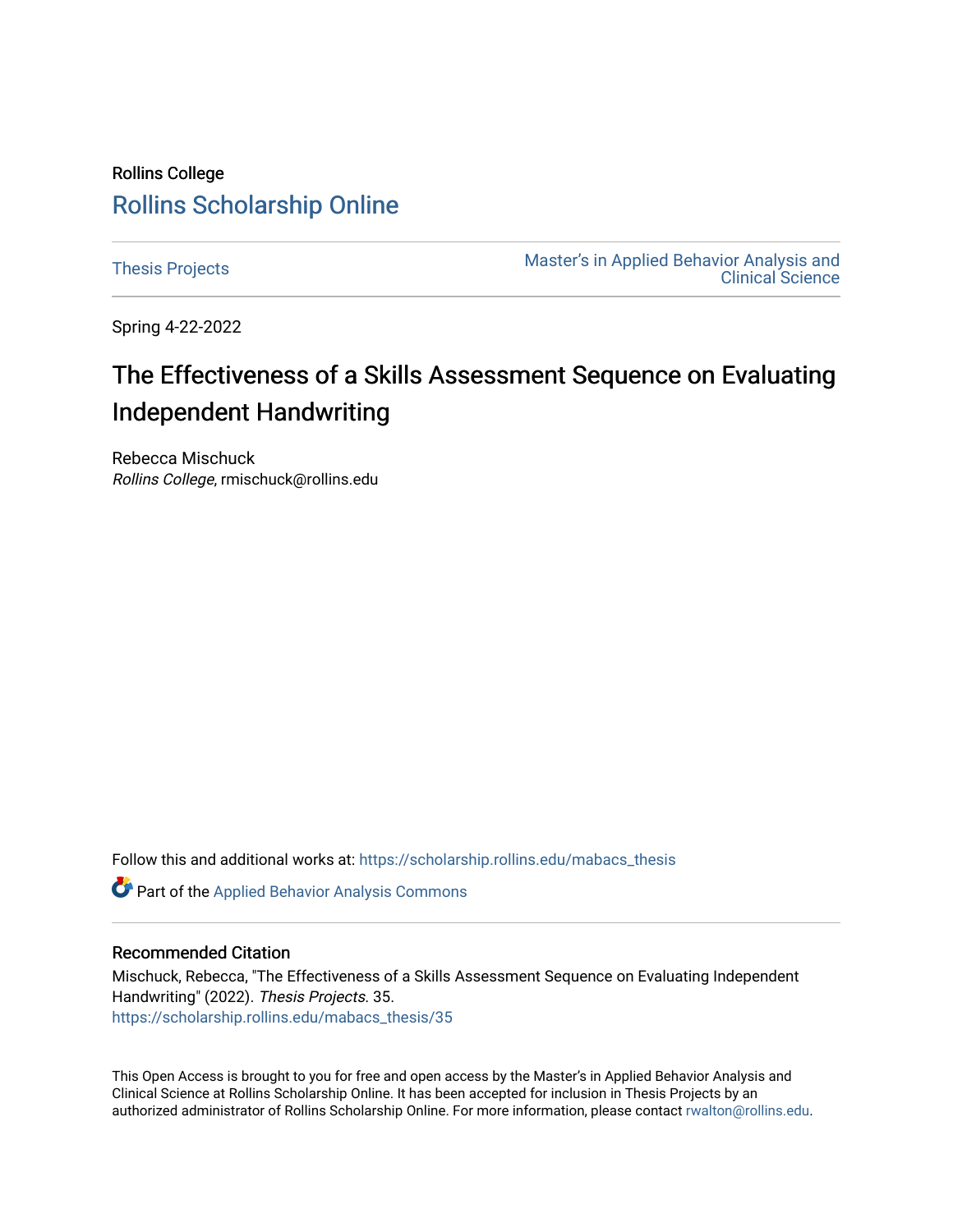# Rollins College [Rollins Scholarship Online](https://scholarship.rollins.edu/)

[Thesis Projects](https://scholarship.rollins.edu/mabacs_thesis) **Master's in Applied Behavior Analysis and** Master's in Applied Behavior Analysis and [Clinical Science](https://scholarship.rollins.edu/mabacs) 

Spring 4-22-2022

# The Effectiveness of a Skills Assessment Sequence on Evaluating Independent Handwriting

Rebecca Mischuck Rollins College, rmischuck@rollins.edu

Follow this and additional works at: [https://scholarship.rollins.edu/mabacs\\_thesis](https://scholarship.rollins.edu/mabacs_thesis?utm_source=scholarship.rollins.edu%2Fmabacs_thesis%2F35&utm_medium=PDF&utm_campaign=PDFCoverPages) 

Part of the [Applied Behavior Analysis Commons](https://network.bepress.com/hgg/discipline/1235?utm_source=scholarship.rollins.edu%2Fmabacs_thesis%2F35&utm_medium=PDF&utm_campaign=PDFCoverPages)

## Recommended Citation

Mischuck, Rebecca, "The Effectiveness of a Skills Assessment Sequence on Evaluating Independent Handwriting" (2022). Thesis Projects. 35. [https://scholarship.rollins.edu/mabacs\\_thesis/35](https://scholarship.rollins.edu/mabacs_thesis/35?utm_source=scholarship.rollins.edu%2Fmabacs_thesis%2F35&utm_medium=PDF&utm_campaign=PDFCoverPages) 

This Open Access is brought to you for free and open access by the Master's in Applied Behavior Analysis and Clinical Science at Rollins Scholarship Online. It has been accepted for inclusion in Thesis Projects by an authorized administrator of Rollins Scholarship Online. For more information, please contact [rwalton@rollins.edu](mailto:rwalton@rollins.edu).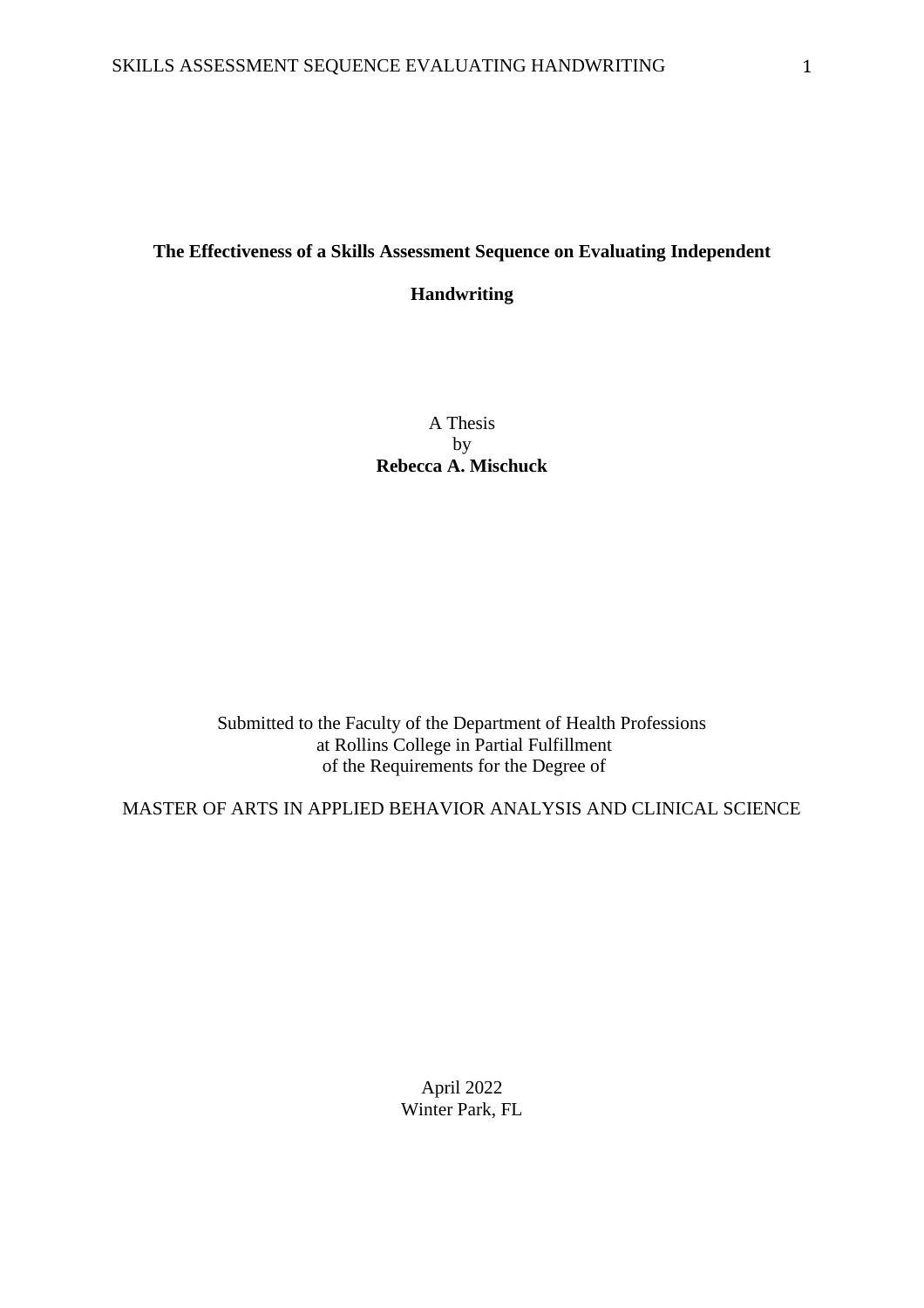## **The Effectiveness of a Skills Assessment Sequence on Evaluating Independent**

## **Handwriting**

A Thesis by **Rebecca A. Mischuck**

Submitted to the Faculty of the Department of Health Professions at Rollins College in Partial Fulfillment of the Requirements for the Degree of

MASTER OF ARTS IN APPLIED BEHAVIOR ANALYSIS AND CLINICAL SCIENCE

April 2022 Winter Park, FL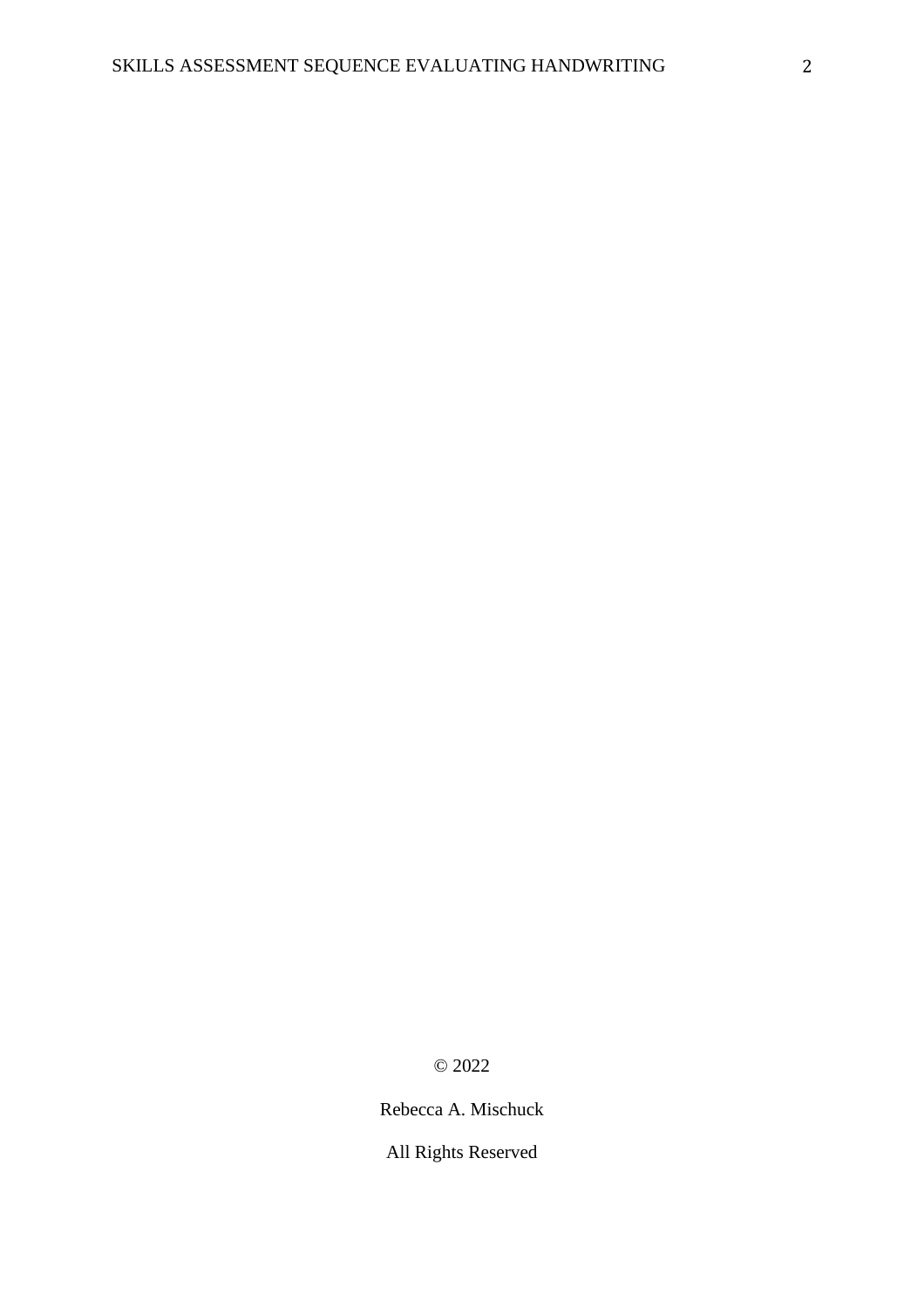© 2022

Rebecca A. Mischuck

All Rights Reserved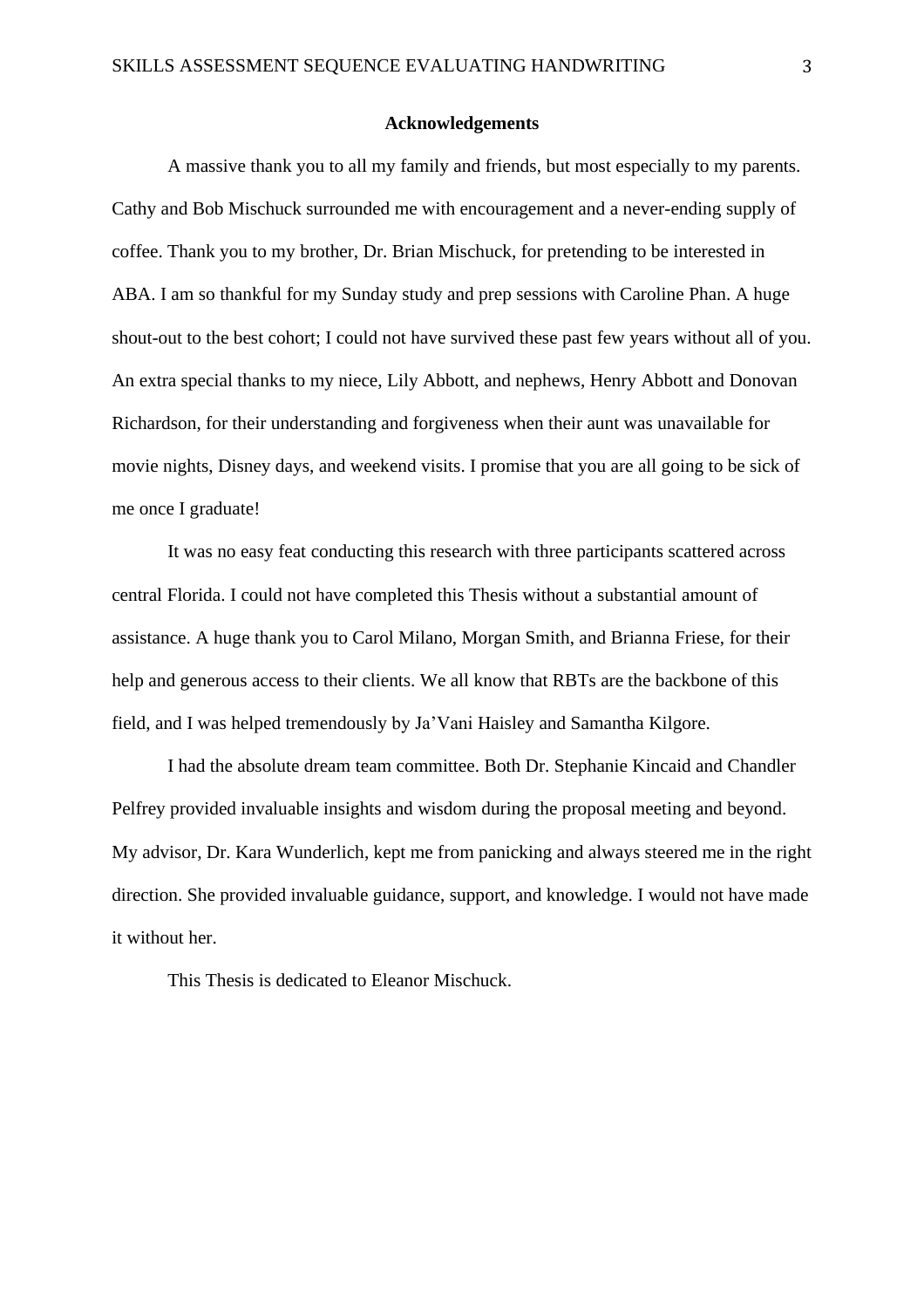#### **Acknowledgements**

A massive thank you to all my family and friends, but most especially to my parents. Cathy and Bob Mischuck surrounded me with encouragement and a never-ending supply of coffee. Thank you to my brother, Dr. Brian Mischuck, for pretending to be interested in ABA. I am so thankful for my Sunday study and prep sessions with Caroline Phan. A huge shout-out to the best cohort; I could not have survived these past few years without all of you. An extra special thanks to my niece, Lily Abbott, and nephews, Henry Abbott and Donovan Richardson, for their understanding and forgiveness when their aunt was unavailable for movie nights, Disney days, and weekend visits. I promise that you are all going to be sick of me once I graduate!

It was no easy feat conducting this research with three participants scattered across central Florida. I could not have completed this Thesis without a substantial amount of assistance. A huge thank you to Carol Milano, Morgan Smith, and Brianna Friese, for their help and generous access to their clients. We all know that RBTs are the backbone of this field, and I was helped tremendously by Ja'Vani Haisley and Samantha Kilgore.

I had the absolute dream team committee. Both Dr. Stephanie Kincaid and Chandler Pelfrey provided invaluable insights and wisdom during the proposal meeting and beyond. My advisor, Dr. Kara Wunderlich, kept me from panicking and always steered me in the right direction. She provided invaluable guidance, support, and knowledge. I would not have made it without her.

This Thesis is dedicated to Eleanor Mischuck.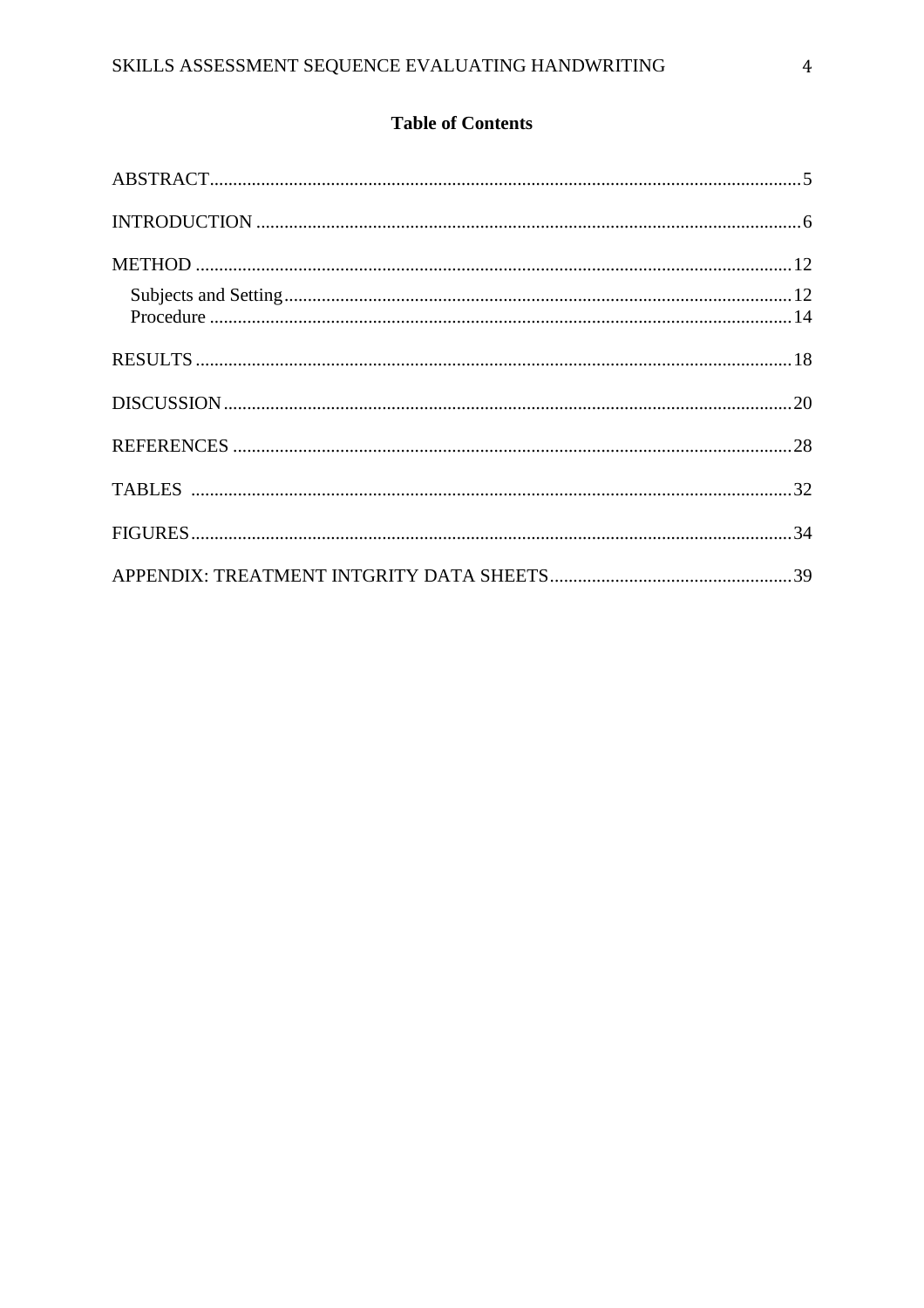# **Table of Contents**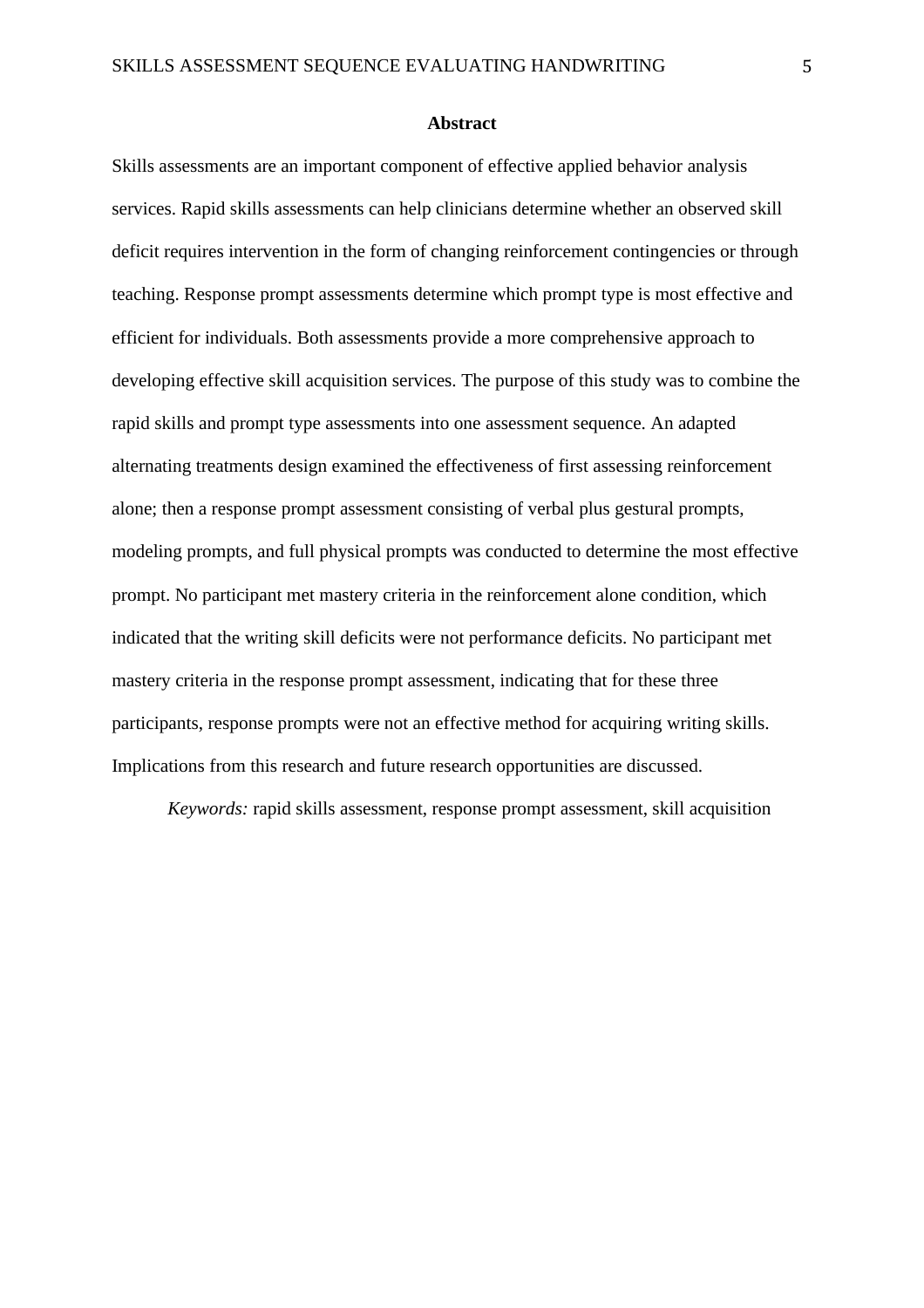#### **Abstract**

Skills assessments are an important component of effective applied behavior analysis services. Rapid skills assessments can help clinicians determine whether an observed skill deficit requires intervention in the form of changing reinforcement contingencies or through teaching. Response prompt assessments determine which prompt type is most effective and efficient for individuals. Both assessments provide a more comprehensive approach to developing effective skill acquisition services. The purpose of this study was to combine the rapid skills and prompt type assessments into one assessment sequence. An adapted alternating treatments design examined the effectiveness of first assessing reinforcement alone; then a response prompt assessment consisting of verbal plus gestural prompts, modeling prompts, and full physical prompts was conducted to determine the most effective prompt. No participant met mastery criteria in the reinforcement alone condition, which indicated that the writing skill deficits were not performance deficits. No participant met mastery criteria in the response prompt assessment, indicating that for these three participants, response prompts were not an effective method for acquiring writing skills. Implications from this research and future research opportunities are discussed.

*Keywords:* rapid skills assessment, response prompt assessment, skill acquisition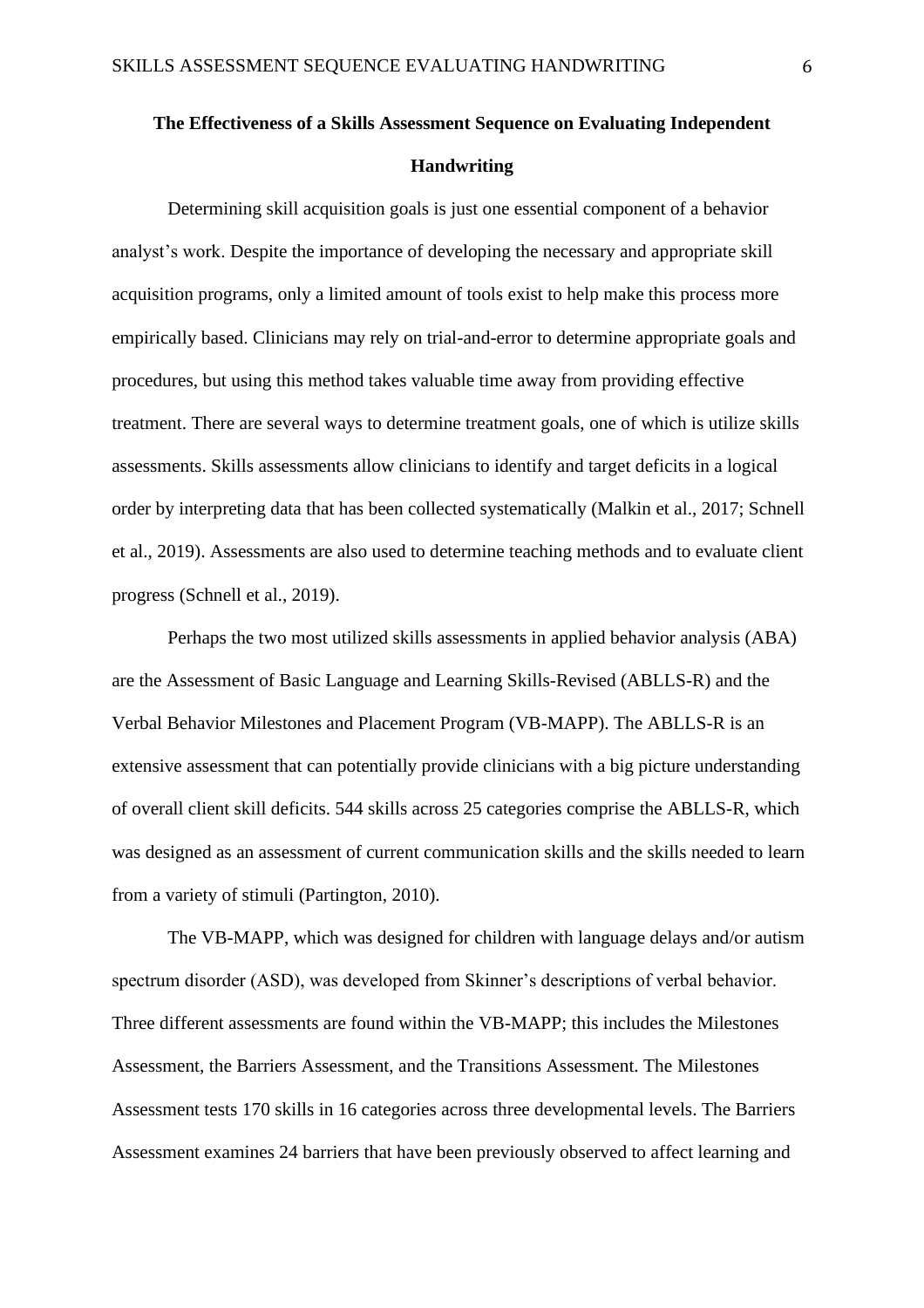# **The Effectiveness of a Skills Assessment Sequence on Evaluating Independent Handwriting**

Determining skill acquisition goals is just one essential component of a behavior analyst's work. Despite the importance of developing the necessary and appropriate skill acquisition programs, only a limited amount of tools exist to help make this process more empirically based. Clinicians may rely on trial-and-error to determine appropriate goals and procedures, but using this method takes valuable time away from providing effective treatment. There are several ways to determine treatment goals, one of which is utilize skills assessments. Skills assessments allow clinicians to identify and target deficits in a logical order by interpreting data that has been collected systematically (Malkin et al., 2017; Schnell et al., 2019). Assessments are also used to determine teaching methods and to evaluate client progress (Schnell et al., 2019).

Perhaps the two most utilized skills assessments in applied behavior analysis (ABA) are the Assessment of Basic Language and Learning Skills-Revised (ABLLS-R) and the Verbal Behavior Milestones and Placement Program (VB-MAPP). The ABLLS-R is an extensive assessment that can potentially provide clinicians with a big picture understanding of overall client skill deficits. 544 skills across 25 categories comprise the ABLLS-R, which was designed as an assessment of current communication skills and the skills needed to learn from a variety of stimuli (Partington, 2010).

The VB-MAPP, which was designed for children with language delays and/or autism spectrum disorder (ASD), was developed from Skinner's descriptions of verbal behavior. Three different assessments are found within the VB-MAPP; this includes the Milestones Assessment, the Barriers Assessment, and the Transitions Assessment. The Milestones Assessment tests 170 skills in 16 categories across three developmental levels. The Barriers Assessment examines 24 barriers that have been previously observed to affect learning and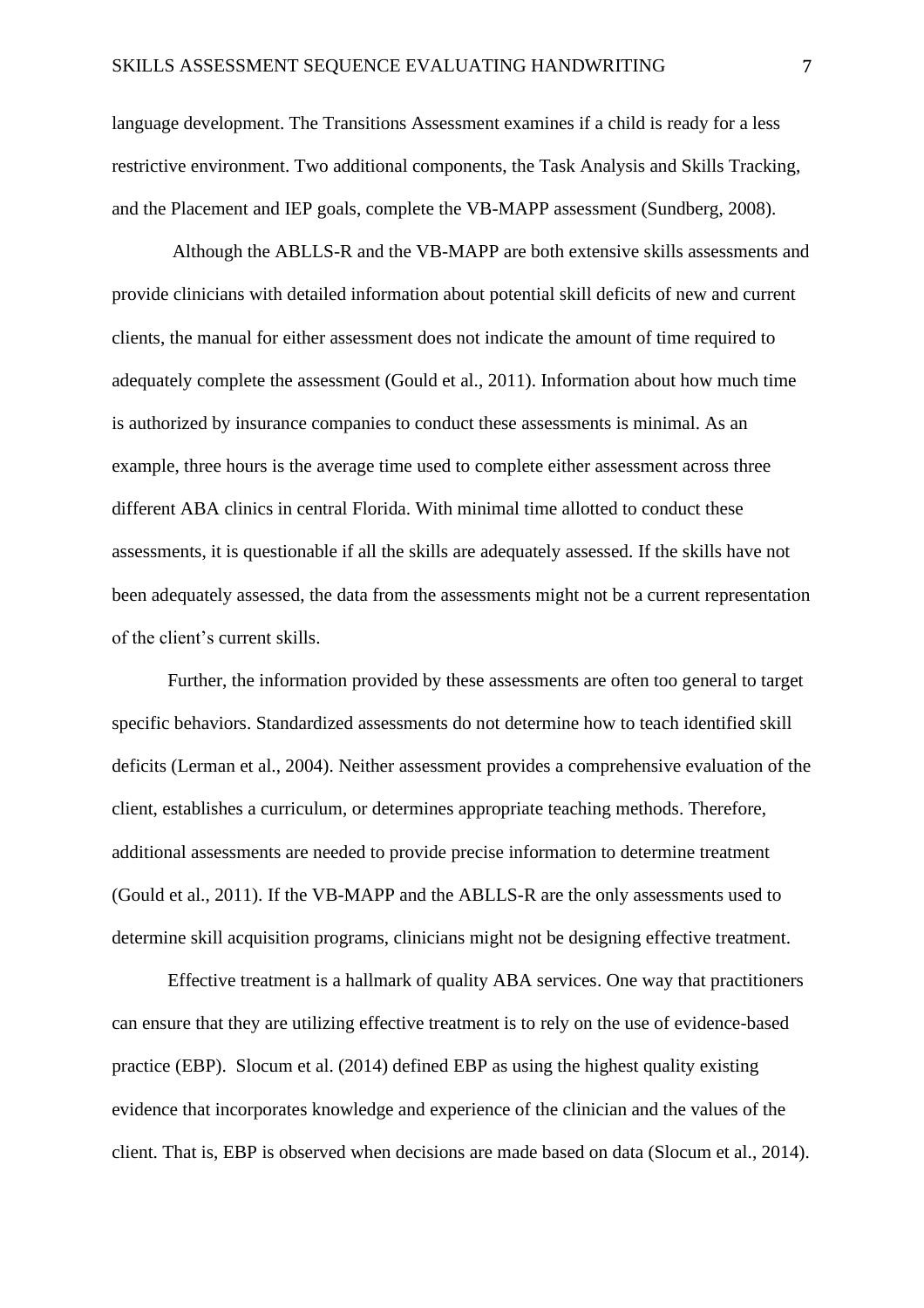language development. The Transitions Assessment examines if a child is ready for a less restrictive environment. Two additional components, the Task Analysis and Skills Tracking, and the Placement and IEP goals, complete the VB-MAPP assessment (Sundberg, 2008).

Although the ABLLS-R and the VB-MAPP are both extensive skills assessments and provide clinicians with detailed information about potential skill deficits of new and current clients, the manual for either assessment does not indicate the amount of time required to adequately complete the assessment (Gould et al., 2011). Information about how much time is authorized by insurance companies to conduct these assessments is minimal. As an example, three hours is the average time used to complete either assessment across three different ABA clinics in central Florida. With minimal time allotted to conduct these assessments, it is questionable if all the skills are adequately assessed. If the skills have not been adequately assessed, the data from the assessments might not be a current representation of the client's current skills.

Further, the information provided by these assessments are often too general to target specific behaviors. Standardized assessments do not determine how to teach identified skill deficits (Lerman et al., 2004). Neither assessment provides a comprehensive evaluation of the client, establishes a curriculum, or determines appropriate teaching methods. Therefore, additional assessments are needed to provide precise information to determine treatment (Gould et al., 2011). If the VB-MAPP and the ABLLS-R are the only assessments used to determine skill acquisition programs, clinicians might not be designing effective treatment.

Effective treatment is a hallmark of quality ABA services. One way that practitioners can ensure that they are utilizing effective treatment is to rely on the use of evidence-based practice (EBP). Slocum et al. (2014) defined EBP as using the highest quality existing evidence that incorporates knowledge and experience of the clinician and the values of the client. That is, EBP is observed when decisions are made based on data (Slocum et al., 2014).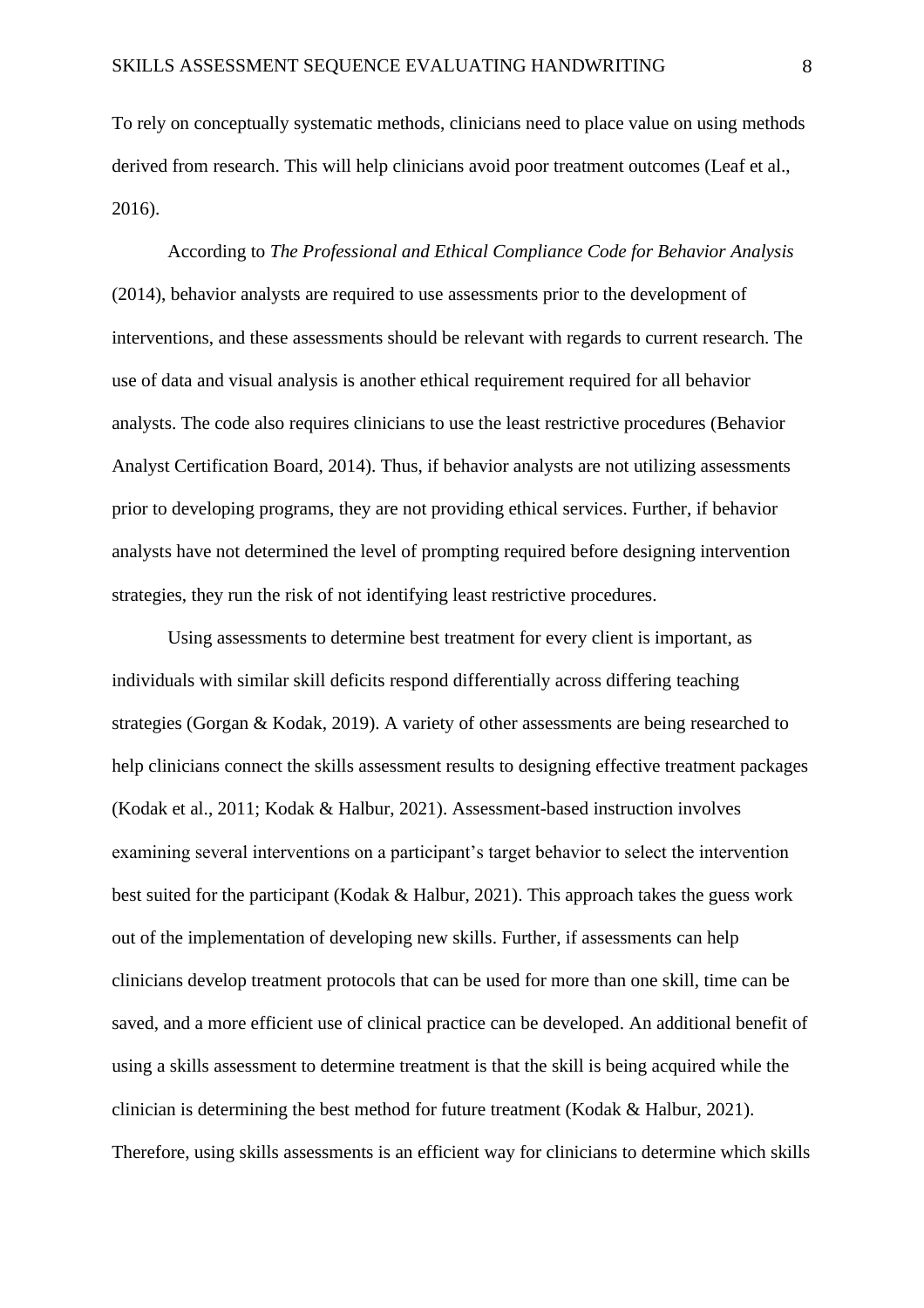To rely on conceptually systematic methods, clinicians need to place value on using methods derived from research. This will help clinicians avoid poor treatment outcomes (Leaf et al., 2016).

According to *The Professional and Ethical Compliance Code for Behavior Analysis*  (2014), behavior analysts are required to use assessments prior to the development of interventions, and these assessments should be relevant with regards to current research. The use of data and visual analysis is another ethical requirement required for all behavior analysts. The code also requires clinicians to use the least restrictive procedures (Behavior Analyst Certification Board, 2014). Thus, if behavior analysts are not utilizing assessments prior to developing programs, they are not providing ethical services. Further, if behavior analysts have not determined the level of prompting required before designing intervention strategies, they run the risk of not identifying least restrictive procedures.

Using assessments to determine best treatment for every client is important, as individuals with similar skill deficits respond differentially across differing teaching strategies (Gorgan & Kodak, 2019). A variety of other assessments are being researched to help clinicians connect the skills assessment results to designing effective treatment packages (Kodak et al., 2011; Kodak & Halbur, 2021). Assessment-based instruction involves examining several interventions on a participant's target behavior to select the intervention best suited for the participant (Kodak & Halbur, 2021). This approach takes the guess work out of the implementation of developing new skills. Further, if assessments can help clinicians develop treatment protocols that can be used for more than one skill, time can be saved, and a more efficient use of clinical practice can be developed. An additional benefit of using a skills assessment to determine treatment is that the skill is being acquired while the clinician is determining the best method for future treatment (Kodak & Halbur, 2021). Therefore, using skills assessments is an efficient way for clinicians to determine which skills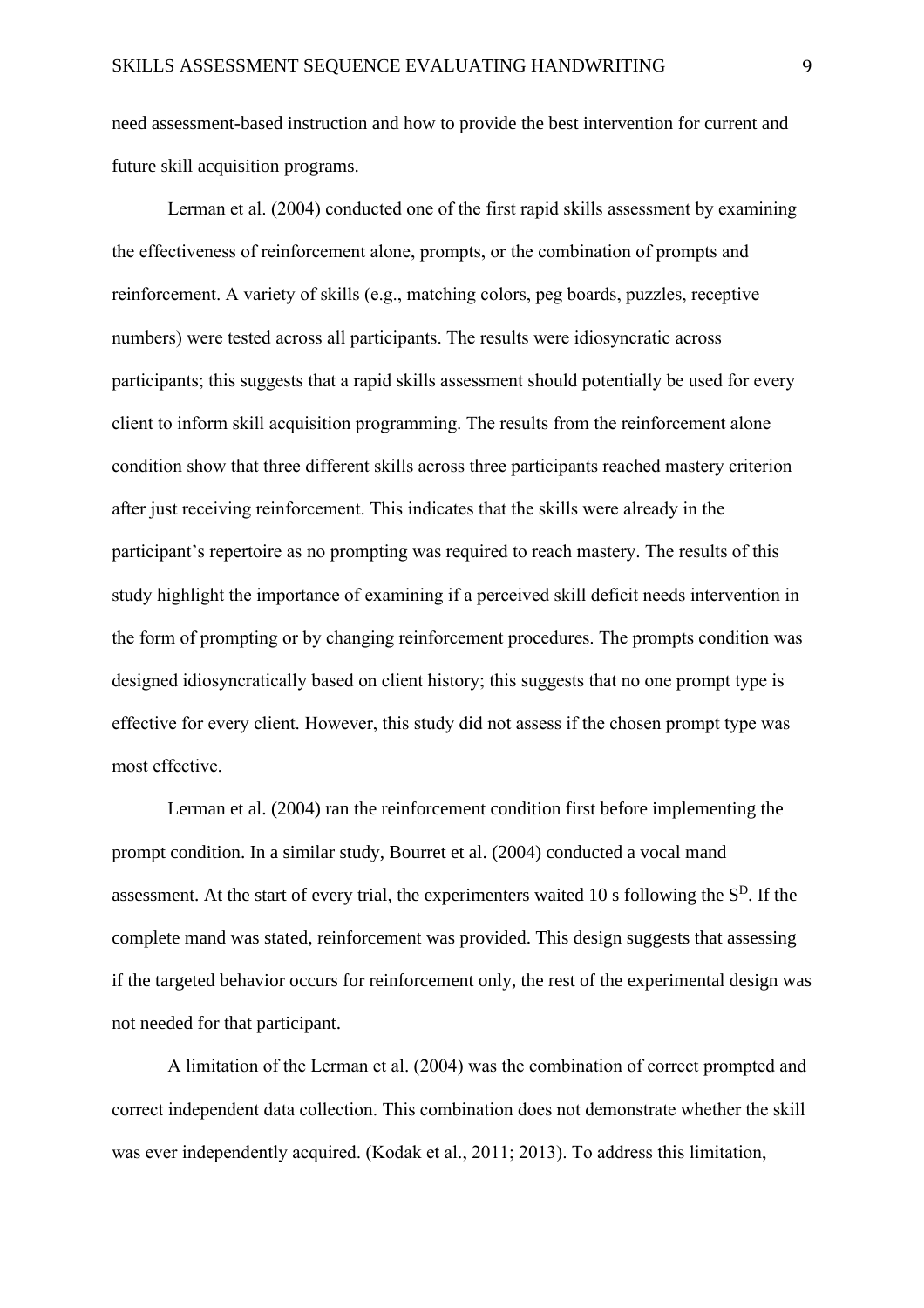need assessment-based instruction and how to provide the best intervention for current and future skill acquisition programs.

Lerman et al. (2004) conducted one of the first rapid skills assessment by examining the effectiveness of reinforcement alone, prompts, or the combination of prompts and reinforcement. A variety of skills (e.g., matching colors, peg boards, puzzles, receptive numbers) were tested across all participants. The results were idiosyncratic across participants; this suggests that a rapid skills assessment should potentially be used for every client to inform skill acquisition programming. The results from the reinforcement alone condition show that three different skills across three participants reached mastery criterion after just receiving reinforcement. This indicates that the skills were already in the participant's repertoire as no prompting was required to reach mastery. The results of this study highlight the importance of examining if a perceived skill deficit needs intervention in the form of prompting or by changing reinforcement procedures. The prompts condition was designed idiosyncratically based on client history; this suggests that no one prompt type is effective for every client. However, this study did not assess if the chosen prompt type was most effective.

Lerman et al. (2004) ran the reinforcement condition first before implementing the prompt condition. In a similar study, Bourret et al. (2004) conducted a vocal mand assessment. At the start of every trial, the experimenters waited 10 s following the  $S<sup>D</sup>$ . If the complete mand was stated, reinforcement was provided. This design suggests that assessing if the targeted behavior occurs for reinforcement only, the rest of the experimental design was not needed for that participant.

A limitation of the Lerman et al. (2004) was the combination of correct prompted and correct independent data collection. This combination does not demonstrate whether the skill was ever independently acquired. (Kodak et al., 2011; 2013). To address this limitation,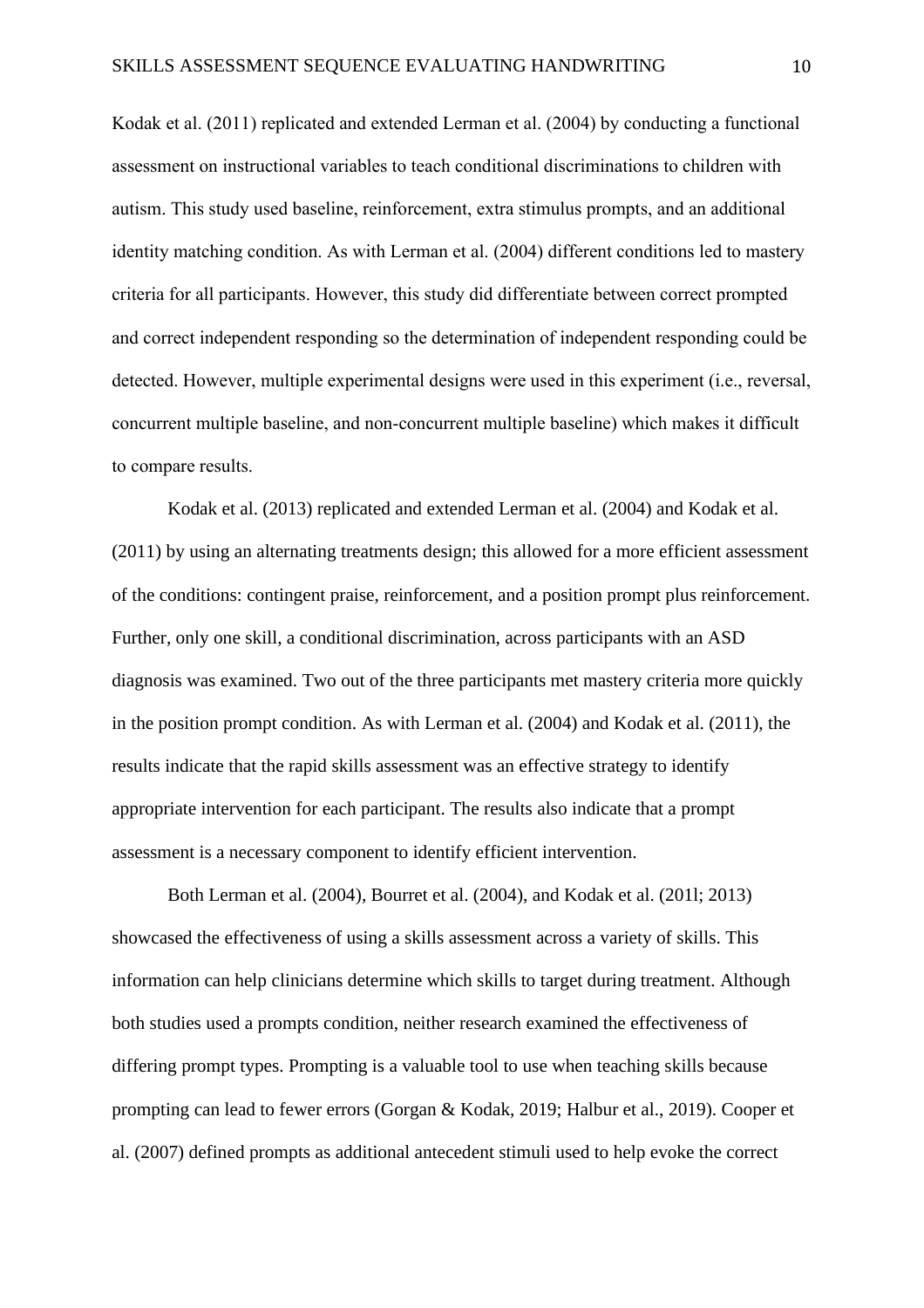Kodak et al. (2011) replicated and extended Lerman et al. (2004) by conducting a functional assessment on instructional variables to teach conditional discriminations to children with autism. This study used baseline, reinforcement, extra stimulus prompts, and an additional identity matching condition. As with Lerman et al. (2004) different conditions led to mastery criteria for all participants. However, this study did differentiate between correct prompted and correct independent responding so the determination of independent responding could be detected. However, multiple experimental designs were used in this experiment (i.e., reversal, concurrent multiple baseline, and non-concurrent multiple baseline) which makes it difficult to compare results.

Kodak et al. (2013) replicated and extended Lerman et al. (2004) and Kodak et al. (2011) by using an alternating treatments design; this allowed for a more efficient assessment of the conditions: contingent praise, reinforcement, and a position prompt plus reinforcement. Further, only one skill, a conditional discrimination, across participants with an ASD diagnosis was examined. Two out of the three participants met mastery criteria more quickly in the position prompt condition. As with Lerman et al. (2004) and Kodak et al. (2011), the results indicate that the rapid skills assessment was an effective strategy to identify appropriate intervention for each participant. The results also indicate that a prompt assessment is a necessary component to identify efficient intervention.

Both Lerman et al. (2004), Bourret et al. (2004), and Kodak et al. (201l; 2013) showcased the effectiveness of using a skills assessment across a variety of skills. This information can help clinicians determine which skills to target during treatment. Although both studies used a prompts condition, neither research examined the effectiveness of differing prompt types. Prompting is a valuable tool to use when teaching skills because prompting can lead to fewer errors (Gorgan & Kodak, 2019; Halbur et al., 2019). Cooper et al. (2007) defined prompts as additional antecedent stimuli used to help evoke the correct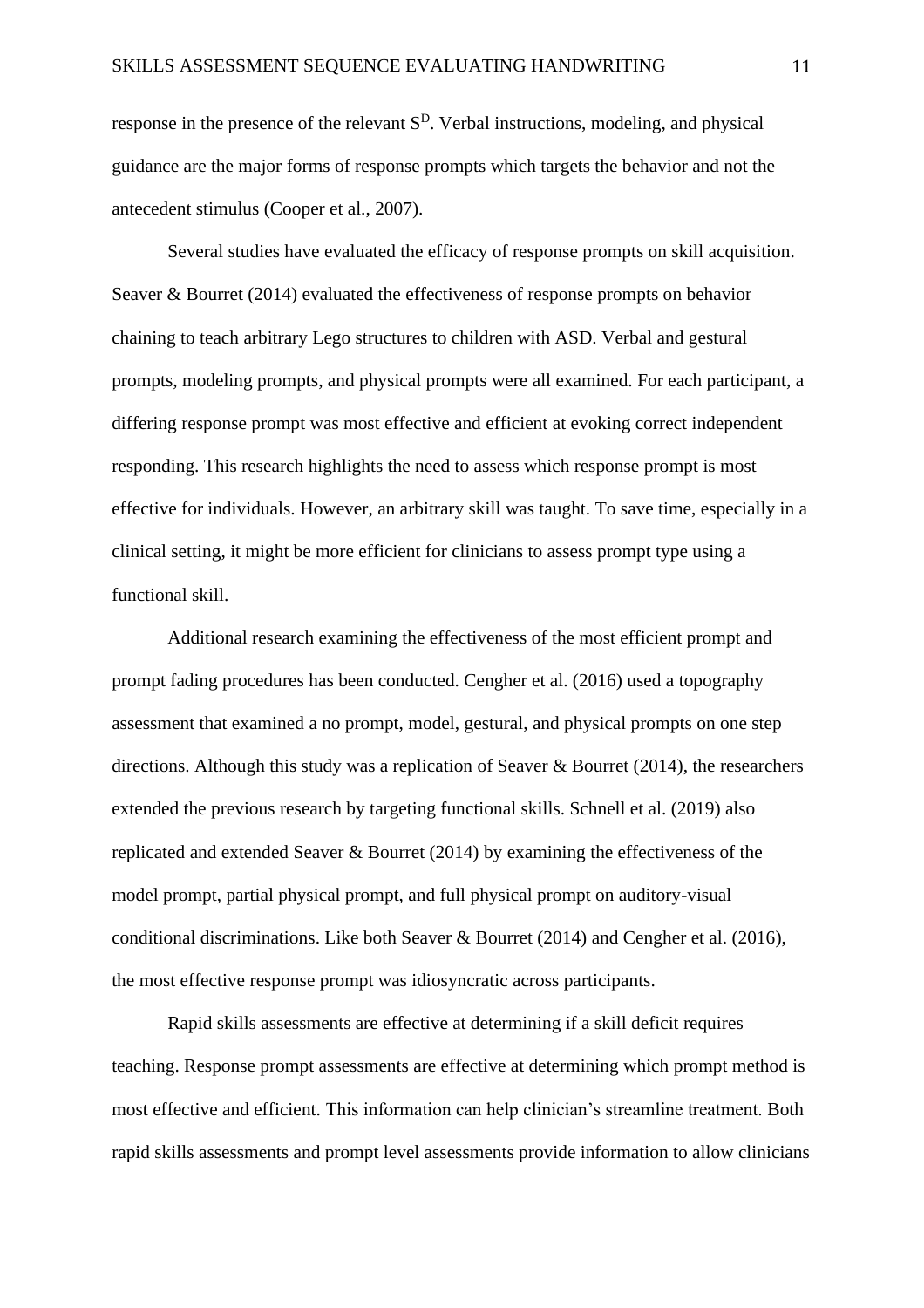response in the presence of the relevant  $S<sup>D</sup>$ . Verbal instructions, modeling, and physical guidance are the major forms of response prompts which targets the behavior and not the antecedent stimulus (Cooper et al., 2007).

Several studies have evaluated the efficacy of response prompts on skill acquisition. Seaver & Bourret (2014) evaluated the effectiveness of response prompts on behavior chaining to teach arbitrary Lego structures to children with ASD. Verbal and gestural prompts, modeling prompts, and physical prompts were all examined. For each participant, a differing response prompt was most effective and efficient at evoking correct independent responding. This research highlights the need to assess which response prompt is most effective for individuals. However, an arbitrary skill was taught. To save time, especially in a clinical setting, it might be more efficient for clinicians to assess prompt type using a functional skill.

Additional research examining the effectiveness of the most efficient prompt and prompt fading procedures has been conducted. Cengher et al. (2016) used a topography assessment that examined a no prompt, model, gestural, and physical prompts on one step directions. Although this study was a replication of Seaver & Bourret (2014), the researchers extended the previous research by targeting functional skills. Schnell et al. (2019) also replicated and extended Seaver & Bourret (2014) by examining the effectiveness of the model prompt, partial physical prompt, and full physical prompt on auditory-visual conditional discriminations. Like both Seaver & Bourret (2014) and Cengher et al. (2016), the most effective response prompt was idiosyncratic across participants.

Rapid skills assessments are effective at determining if a skill deficit requires teaching. Response prompt assessments are effective at determining which prompt method is most effective and efficient. This information can help clinician's streamline treatment. Both rapid skills assessments and prompt level assessments provide information to allow clinicians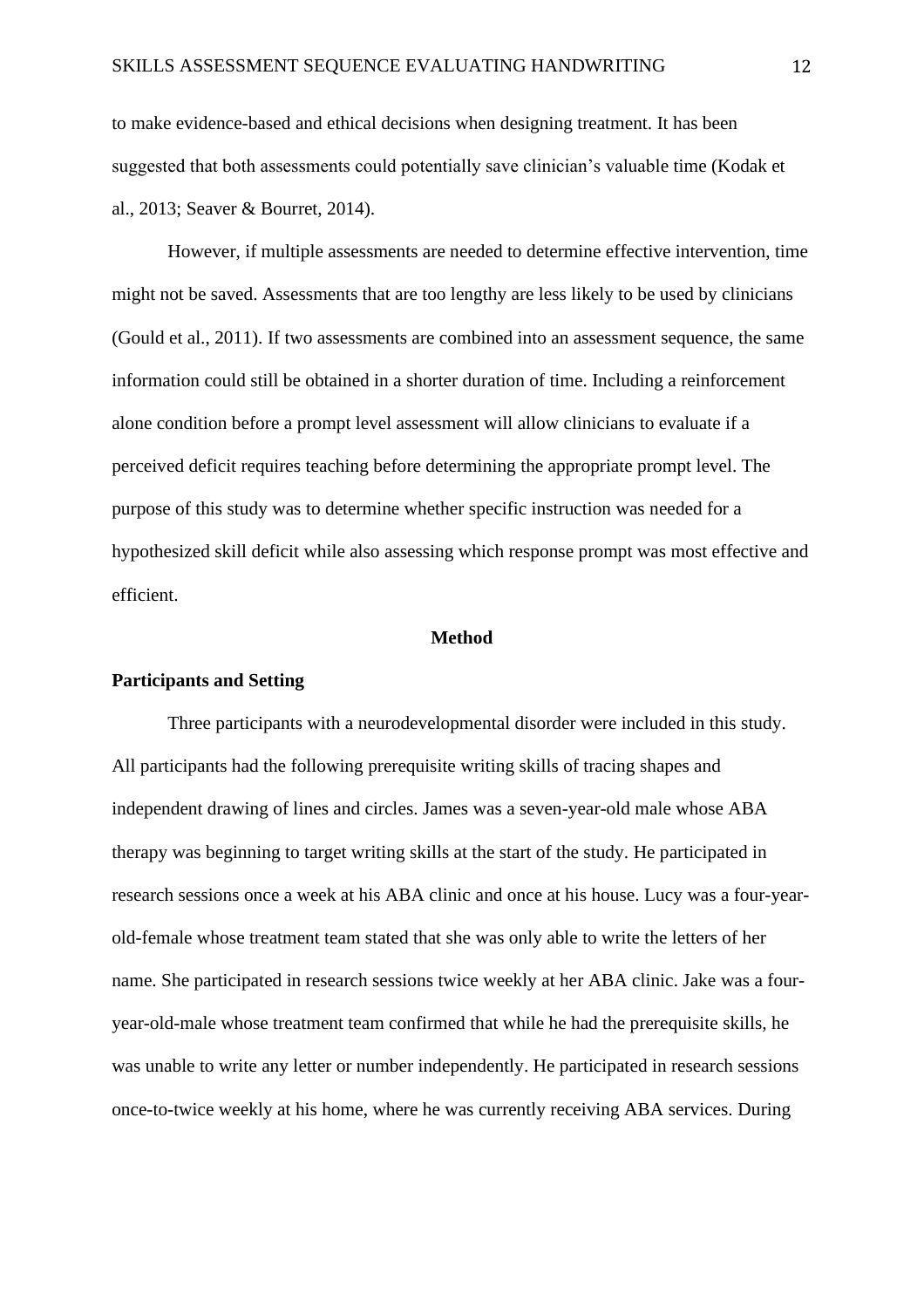to make evidence-based and ethical decisions when designing treatment. It has been suggested that both assessments could potentially save clinician's valuable time (Kodak et al., 2013; Seaver & Bourret, 2014).

However, if multiple assessments are needed to determine effective intervention, time might not be saved. Assessments that are too lengthy are less likely to be used by clinicians (Gould et al., 2011). If two assessments are combined into an assessment sequence, the same information could still be obtained in a shorter duration of time. Including a reinforcement alone condition before a prompt level assessment will allow clinicians to evaluate if a perceived deficit requires teaching before determining the appropriate prompt level. The purpose of this study was to determine whether specific instruction was needed for a hypothesized skill deficit while also assessing which response prompt was most effective and efficient.

## **Method**

#### **Participants and Setting**

Three participants with a neurodevelopmental disorder were included in this study. All participants had the following prerequisite writing skills of tracing shapes and independent drawing of lines and circles. James was a seven-year-old male whose ABA therapy was beginning to target writing skills at the start of the study. He participated in research sessions once a week at his ABA clinic and once at his house. Lucy was a four-yearold-female whose treatment team stated that she was only able to write the letters of her name. She participated in research sessions twice weekly at her ABA clinic. Jake was a fouryear-old-male whose treatment team confirmed that while he had the prerequisite skills, he was unable to write any letter or number independently. He participated in research sessions once-to-twice weekly at his home, where he was currently receiving ABA services. During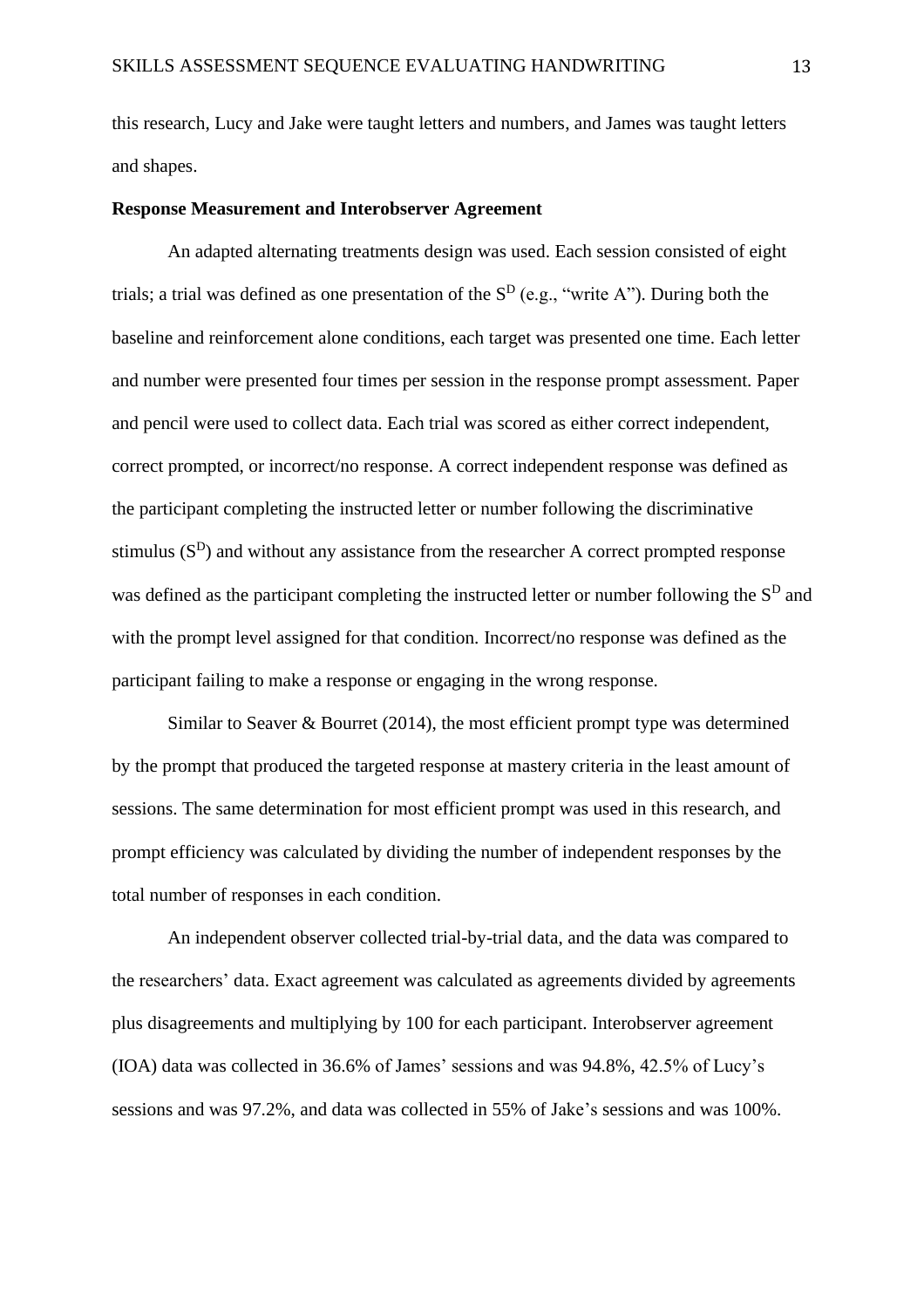this research, Lucy and Jake were taught letters and numbers, and James was taught letters and shapes.

### **Response Measurement and Interobserver Agreement**

An adapted alternating treatments design was used. Each session consisted of eight trials; a trial was defined as one presentation of the  $S<sup>D</sup>$  (e.g., "write A"). During both the baseline and reinforcement alone conditions, each target was presented one time. Each letter and number were presented four times per session in the response prompt assessment. Paper and pencil were used to collect data. Each trial was scored as either correct independent, correct prompted, or incorrect/no response. A correct independent response was defined as the participant completing the instructed letter or number following the discriminative stimulus  $(S<sup>D</sup>)$  and without any assistance from the researcher A correct prompted response was defined as the participant completing the instructed letter or number following the  $S<sup>D</sup>$  and with the prompt level assigned for that condition. Incorrect/no response was defined as the participant failing to make a response or engaging in the wrong response.

Similar to Seaver  $\&$  Bourret (2014), the most efficient prompt type was determined by the prompt that produced the targeted response at mastery criteria in the least amount of sessions. The same determination for most efficient prompt was used in this research, and prompt efficiency was calculated by dividing the number of independent responses by the total number of responses in each condition.

An independent observer collected trial-by-trial data, and the data was compared to the researchers' data. Exact agreement was calculated as agreements divided by agreements plus disagreements and multiplying by 100 for each participant. Interobserver agreement (IOA) data was collected in 36.6% of James' sessions and was 94.8%, 42.5% of Lucy's sessions and was 97.2%, and data was collected in 55% of Jake's sessions and was 100%.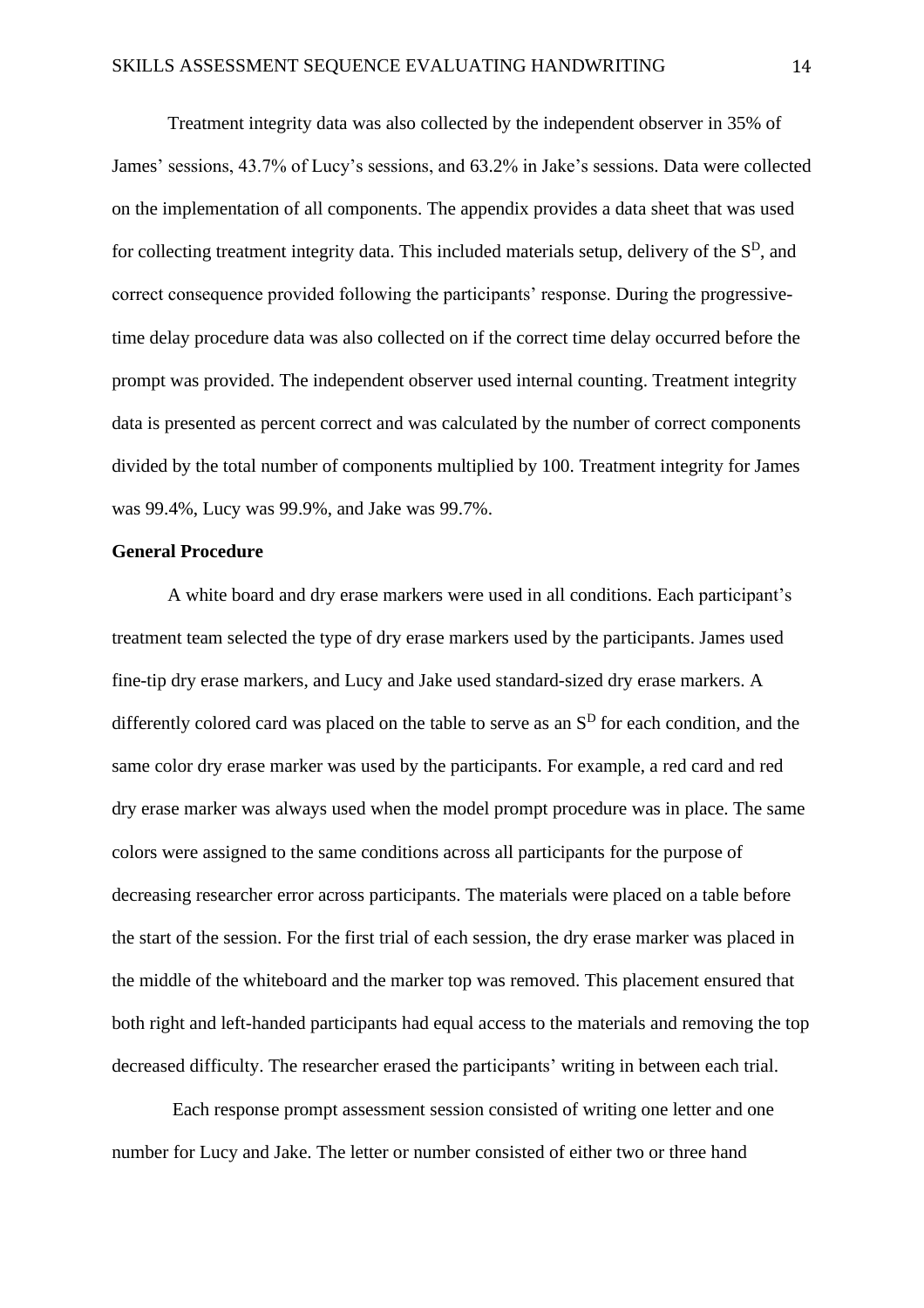Treatment integrity data was also collected by the independent observer in 35% of James' sessions, 43.7% of Lucy's sessions, and 63.2% in Jake's sessions. Data were collected on the implementation of all components. The appendix provides a data sheet that was used for collecting treatment integrity data. This included materials setup, delivery of the  $S<sup>D</sup>$ , and correct consequence provided following the participants' response. During the progressivetime delay procedure data was also collected on if the correct time delay occurred before the prompt was provided. The independent observer used internal counting. Treatment integrity data is presented as percent correct and was calculated by the number of correct components divided by the total number of components multiplied by 100. Treatment integrity for James was 99.4%, Lucy was 99.9%, and Jake was 99.7%.

## **General Procedure**

A white board and dry erase markers were used in all conditions. Each participant's treatment team selected the type of dry erase markers used by the participants. James used fine-tip dry erase markers, and Lucy and Jake used standard-sized dry erase markers. A differently colored card was placed on the table to serve as an  $S<sup>D</sup>$  for each condition, and the same color dry erase marker was used by the participants. For example, a red card and red dry erase marker was always used when the model prompt procedure was in place. The same colors were assigned to the same conditions across all participants for the purpose of decreasing researcher error across participants. The materials were placed on a table before the start of the session. For the first trial of each session, the dry erase marker was placed in the middle of the whiteboard and the marker top was removed. This placement ensured that both right and left-handed participants had equal access to the materials and removing the top decreased difficulty. The researcher erased the participants' writing in between each trial.

Each response prompt assessment session consisted of writing one letter and one number for Lucy and Jake. The letter or number consisted of either two or three hand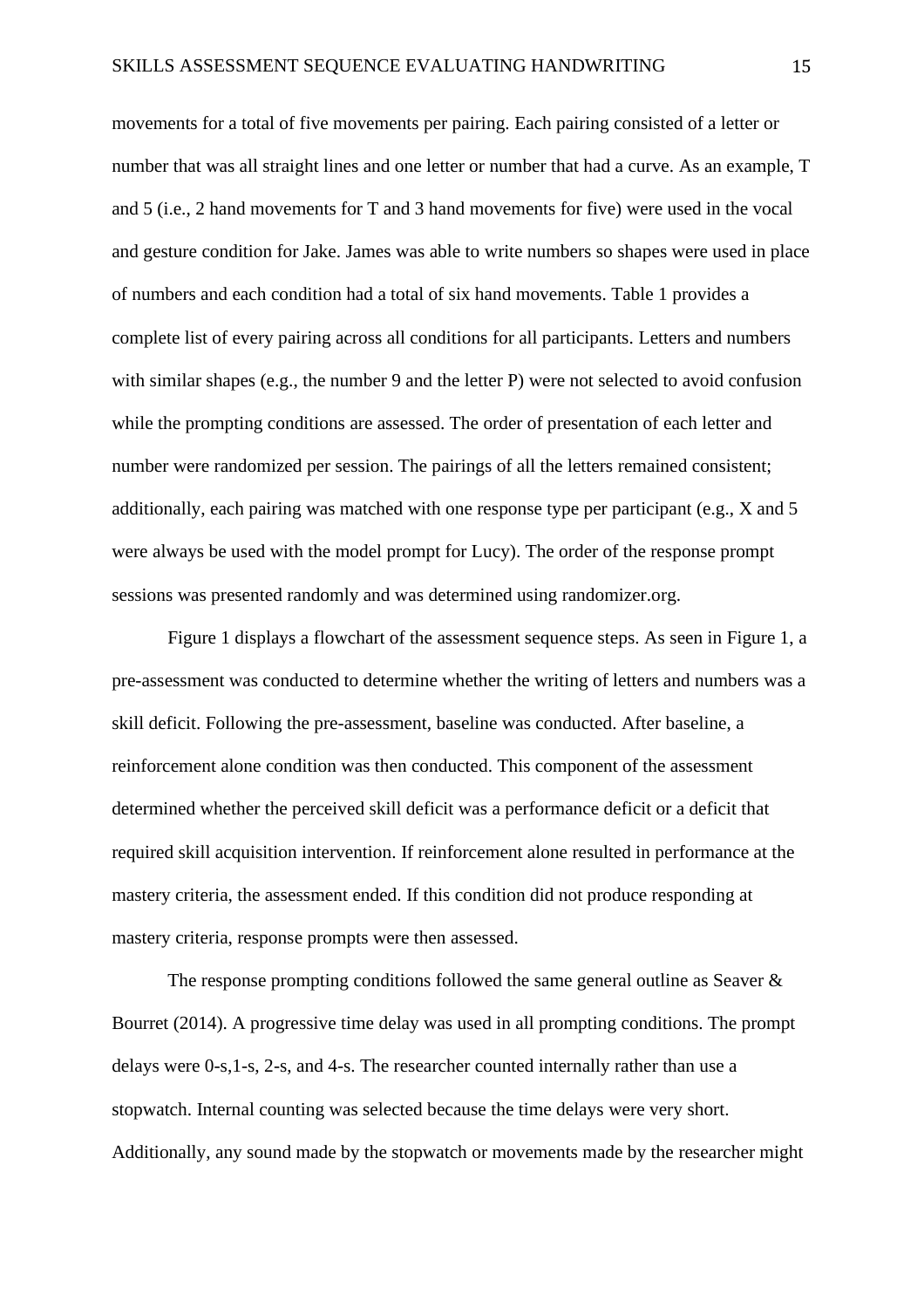movements for a total of five movements per pairing. Each pairing consisted of a letter or number that was all straight lines and one letter or number that had a curve. As an example, T and 5 (i.e., 2 hand movements for T and 3 hand movements for five) were used in the vocal and gesture condition for Jake. James was able to write numbers so shapes were used in place of numbers and each condition had a total of six hand movements. Table 1 provides a complete list of every pairing across all conditions for all participants. Letters and numbers with similar shapes (e.g., the number 9 and the letter P) were not selected to avoid confusion while the prompting conditions are assessed. The order of presentation of each letter and number were randomized per session. The pairings of all the letters remained consistent; additionally, each pairing was matched with one response type per participant (e.g., X and 5 were always be used with the model prompt for Lucy). The order of the response prompt sessions was presented randomly and was determined using randomizer.org.

Figure 1 displays a flowchart of the assessment sequence steps. As seen in Figure 1, a pre-assessment was conducted to determine whether the writing of letters and numbers was a skill deficit. Following the pre-assessment, baseline was conducted. After baseline, a reinforcement alone condition was then conducted. This component of the assessment determined whether the perceived skill deficit was a performance deficit or a deficit that required skill acquisition intervention. If reinforcement alone resulted in performance at the mastery criteria, the assessment ended. If this condition did not produce responding at mastery criteria, response prompts were then assessed.

The response prompting conditions followed the same general outline as Seaver & Bourret (2014). A progressive time delay was used in all prompting conditions. The prompt delays were 0-s,1-s, 2-s, and 4-s. The researcher counted internally rather than use a stopwatch. Internal counting was selected because the time delays were very short. Additionally, any sound made by the stopwatch or movements made by the researcher might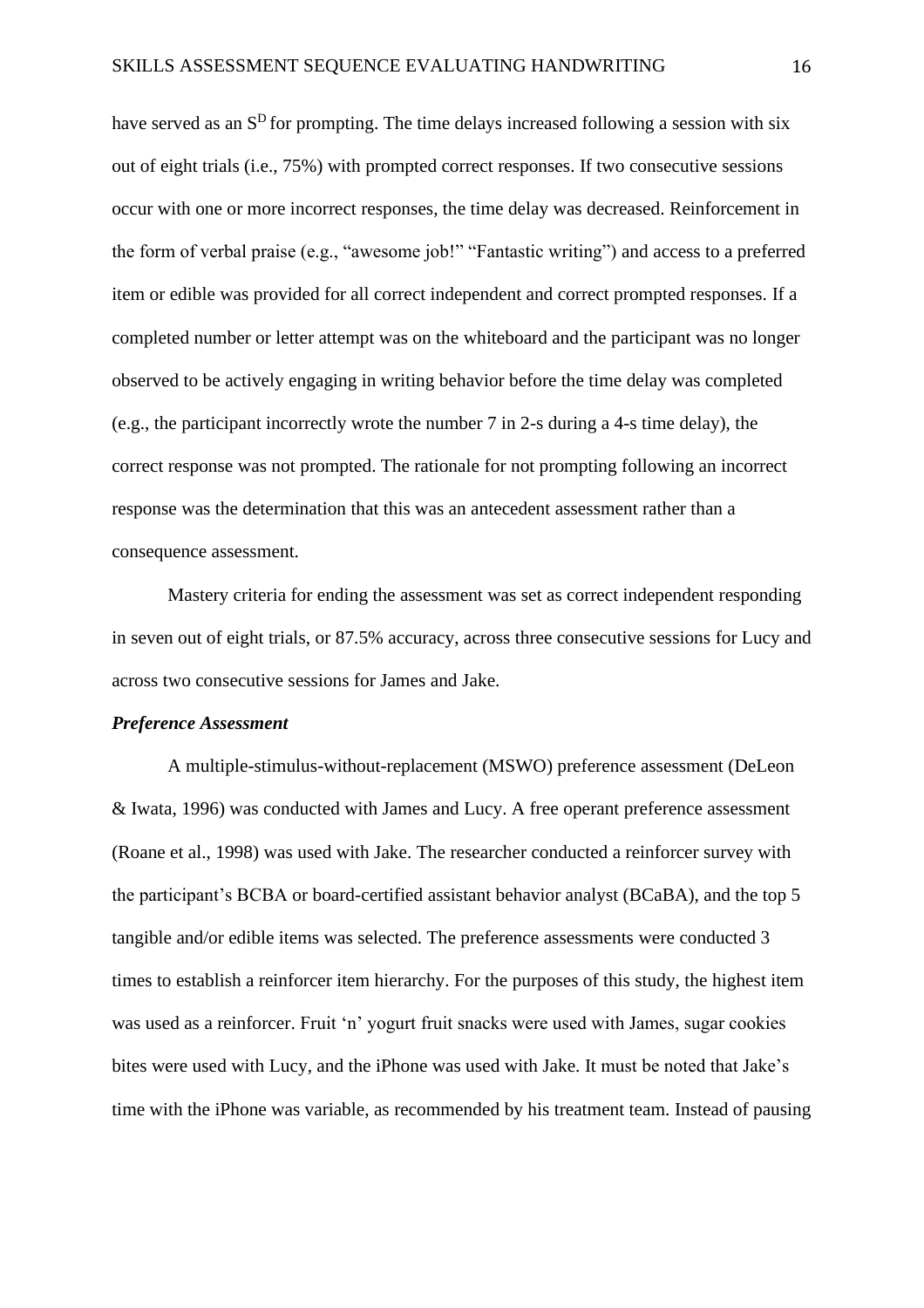have served as an  $S<sup>D</sup>$  for prompting. The time delays increased following a session with six out of eight trials (i.e., 75%) with prompted correct responses. If two consecutive sessions occur with one or more incorrect responses, the time delay was decreased. Reinforcement in the form of verbal praise (e.g., "awesome job!" "Fantastic writing") and access to a preferred item or edible was provided for all correct independent and correct prompted responses. If a completed number or letter attempt was on the whiteboard and the participant was no longer observed to be actively engaging in writing behavior before the time delay was completed (e.g., the participant incorrectly wrote the number 7 in 2-s during a 4-s time delay), the correct response was not prompted. The rationale for not prompting following an incorrect response was the determination that this was an antecedent assessment rather than a consequence assessment.

Mastery criteria for ending the assessment was set as correct independent responding in seven out of eight trials, or 87.5% accuracy, across three consecutive sessions for Lucy and across two consecutive sessions for James and Jake.

#### *Preference Assessment*

A multiple-stimulus-without-replacement (MSWO) preference assessment (DeLeon & Iwata, 1996) was conducted with James and Lucy. A free operant preference assessment (Roane et al., 1998) was used with Jake. The researcher conducted a reinforcer survey with the participant's BCBA or board-certified assistant behavior analyst (BCaBA), and the top 5 tangible and/or edible items was selected. The preference assessments were conducted 3 times to establish a reinforcer item hierarchy. For the purposes of this study, the highest item was used as a reinforcer. Fruit 'n' yogurt fruit snacks were used with James, sugar cookies bites were used with Lucy, and the iPhone was used with Jake. It must be noted that Jake's time with the iPhone was variable, as recommended by his treatment team. Instead of pausing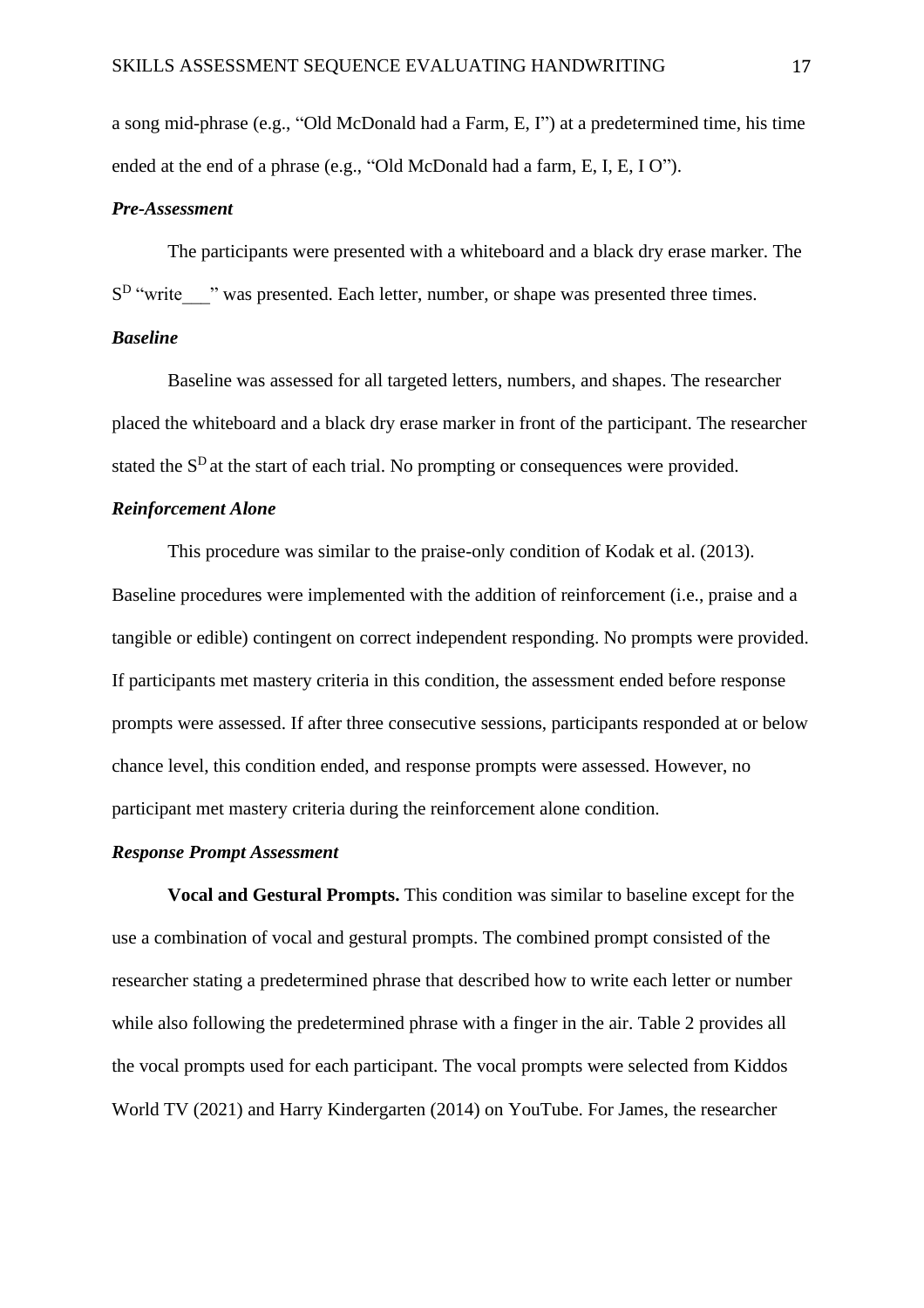a song mid-phrase (e.g., "Old McDonald had a Farm, E, I") at a predetermined time, his time ended at the end of a phrase (e.g., "Old McDonald had a farm, E, I, E, I O").

## *Pre-Assessment*

The participants were presented with a whiteboard and a black dry erase marker. The S<sup>D</sup> "write<sub>"</sub> was presented. Each letter, number, or shape was presented three times.

## *Baseline*

Baseline was assessed for all targeted letters, numbers, and shapes. The researcher placed the whiteboard and a black dry erase marker in front of the participant. The researcher stated the  $S<sup>D</sup>$  at the start of each trial. No prompting or consequences were provided.

## *Reinforcement Alone*

This procedure was similar to the praise-only condition of Kodak et al. (2013). Baseline procedures were implemented with the addition of reinforcement (i.e., praise and a tangible or edible) contingent on correct independent responding. No prompts were provided. If participants met mastery criteria in this condition, the assessment ended before response prompts were assessed. If after three consecutive sessions, participants responded at or below chance level, this condition ended, and response prompts were assessed. However, no participant met mastery criteria during the reinforcement alone condition.

## *Response Prompt Assessment*

**Vocal and Gestural Prompts.** This condition was similar to baseline except for the use a combination of vocal and gestural prompts. The combined prompt consisted of the researcher stating a predetermined phrase that described how to write each letter or number while also following the predetermined phrase with a finger in the air. Table 2 provides all the vocal prompts used for each participant. The vocal prompts were selected from Kiddos World TV (2021) and Harry Kindergarten (2014) on YouTube. For James, the researcher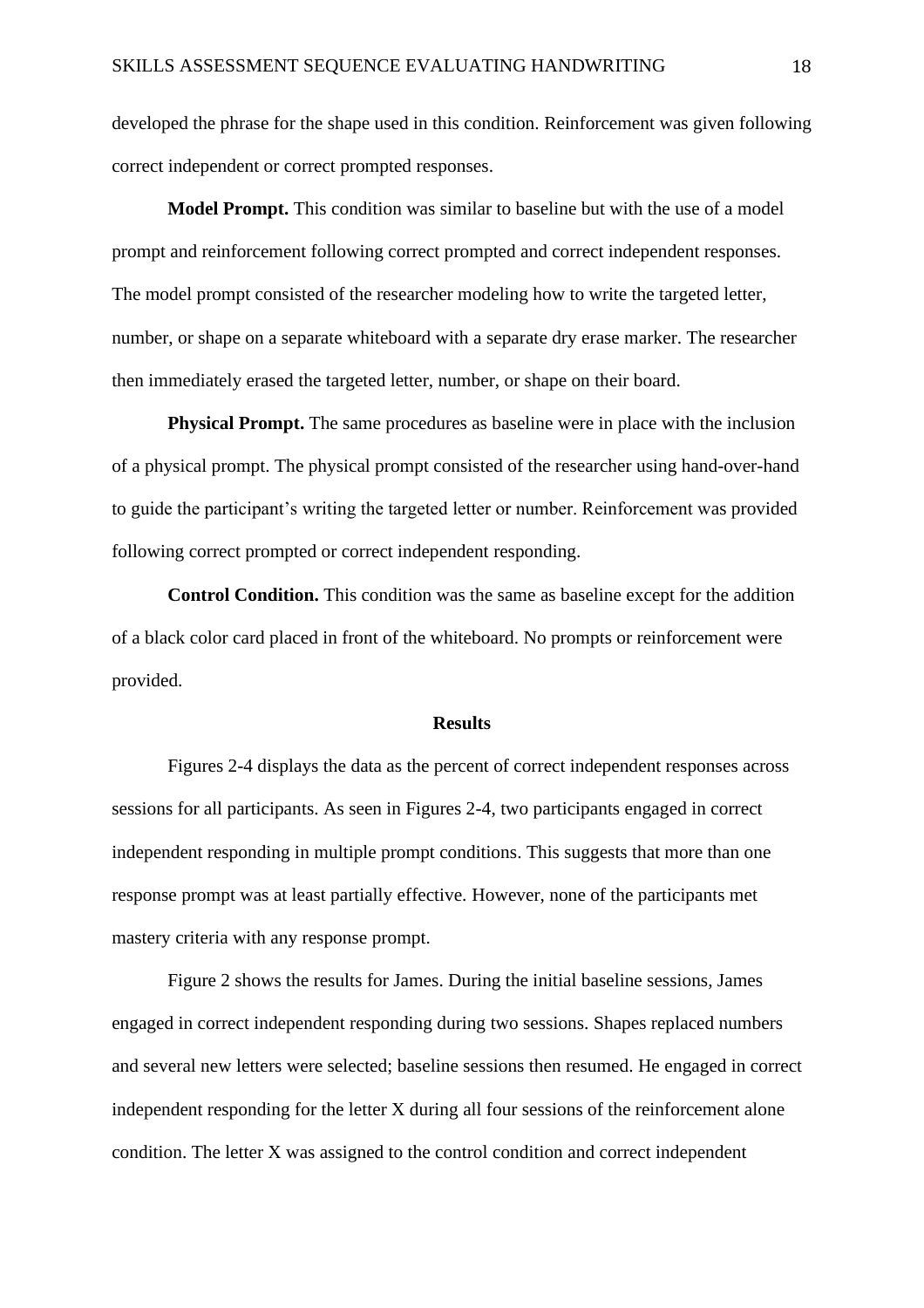developed the phrase for the shape used in this condition. Reinforcement was given following correct independent or correct prompted responses.

**Model Prompt.** This condition was similar to baseline but with the use of a model prompt and reinforcement following correct prompted and correct independent responses. The model prompt consisted of the researcher modeling how to write the targeted letter, number, or shape on a separate whiteboard with a separate dry erase marker. The researcher then immediately erased the targeted letter, number, or shape on their board.

**Physical Prompt.** The same procedures as baseline were in place with the inclusion of a physical prompt. The physical prompt consisted of the researcher using hand-over-hand to guide the participant's writing the targeted letter or number. Reinforcement was provided following correct prompted or correct independent responding.

**Control Condition.** This condition was the same as baseline except for the addition of a black color card placed in front of the whiteboard. No prompts or reinforcement were provided.

## **Results**

Figures 2-4 displays the data as the percent of correct independent responses across sessions for all participants. As seen in Figures 2-4, two participants engaged in correct independent responding in multiple prompt conditions. This suggests that more than one response prompt was at least partially effective. However, none of the participants met mastery criteria with any response prompt.

Figure 2 shows the results for James. During the initial baseline sessions, James engaged in correct independent responding during two sessions. Shapes replaced numbers and several new letters were selected; baseline sessions then resumed. He engaged in correct independent responding for the letter X during all four sessions of the reinforcement alone condition. The letter X was assigned to the control condition and correct independent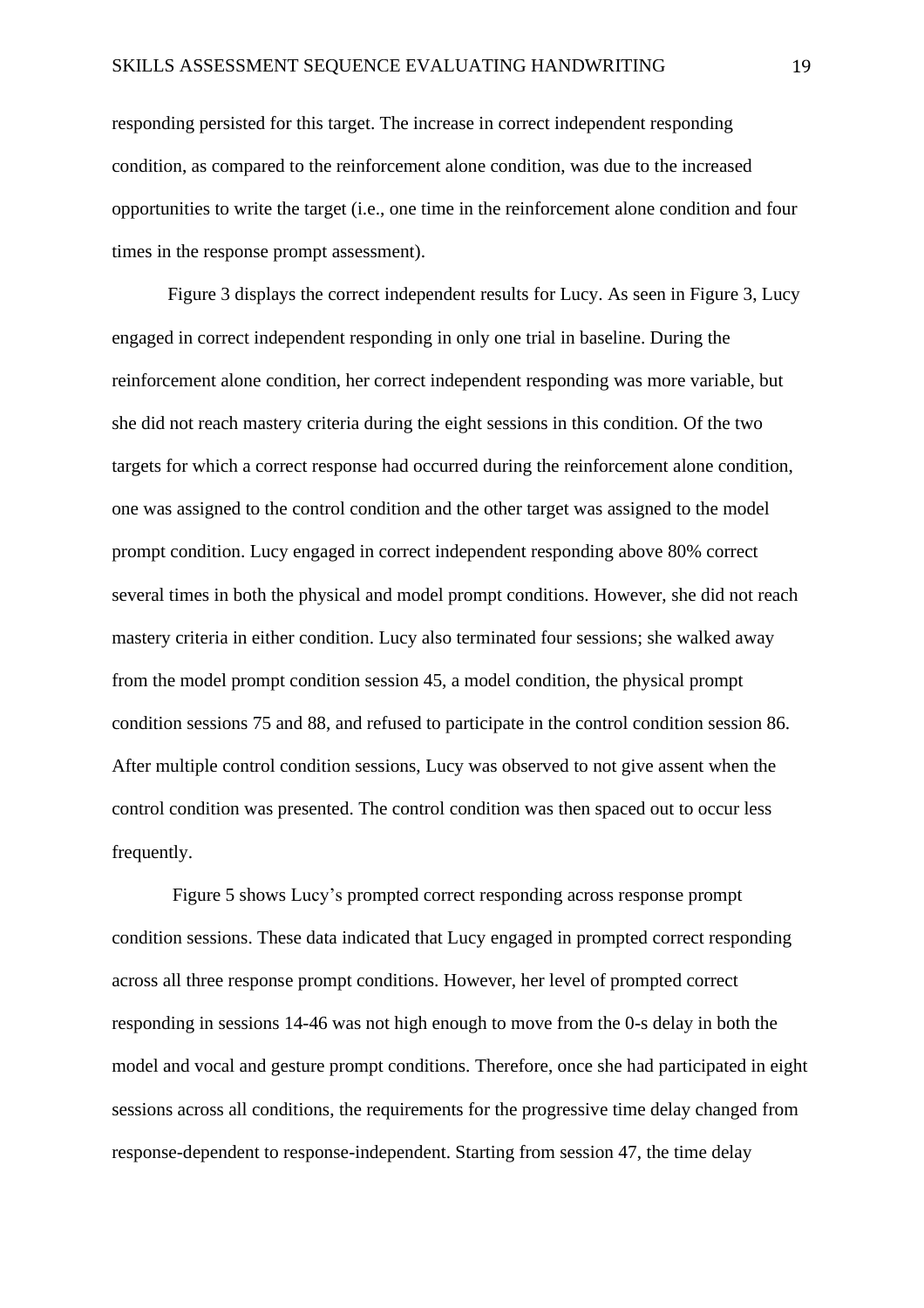responding persisted for this target. The increase in correct independent responding condition, as compared to the reinforcement alone condition, was due to the increased opportunities to write the target (i.e., one time in the reinforcement alone condition and four times in the response prompt assessment).

Figure 3 displays the correct independent results for Lucy. As seen in Figure 3, Lucy engaged in correct independent responding in only one trial in baseline. During the reinforcement alone condition, her correct independent responding was more variable, but she did not reach mastery criteria during the eight sessions in this condition. Of the two targets for which a correct response had occurred during the reinforcement alone condition, one was assigned to the control condition and the other target was assigned to the model prompt condition. Lucy engaged in correct independent responding above 80% correct several times in both the physical and model prompt conditions. However, she did not reach mastery criteria in either condition. Lucy also terminated four sessions; she walked away from the model prompt condition session 45, a model condition, the physical prompt condition sessions 75 and 88, and refused to participate in the control condition session 86. After multiple control condition sessions, Lucy was observed to not give assent when the control condition was presented. The control condition was then spaced out to occur less frequently.

Figure 5 shows Lucy's prompted correct responding across response prompt condition sessions. These data indicated that Lucy engaged in prompted correct responding across all three response prompt conditions. However, her level of prompted correct responding in sessions 14-46 was not high enough to move from the 0-s delay in both the model and vocal and gesture prompt conditions. Therefore, once she had participated in eight sessions across all conditions, the requirements for the progressive time delay changed from response-dependent to response-independent. Starting from session 47, the time delay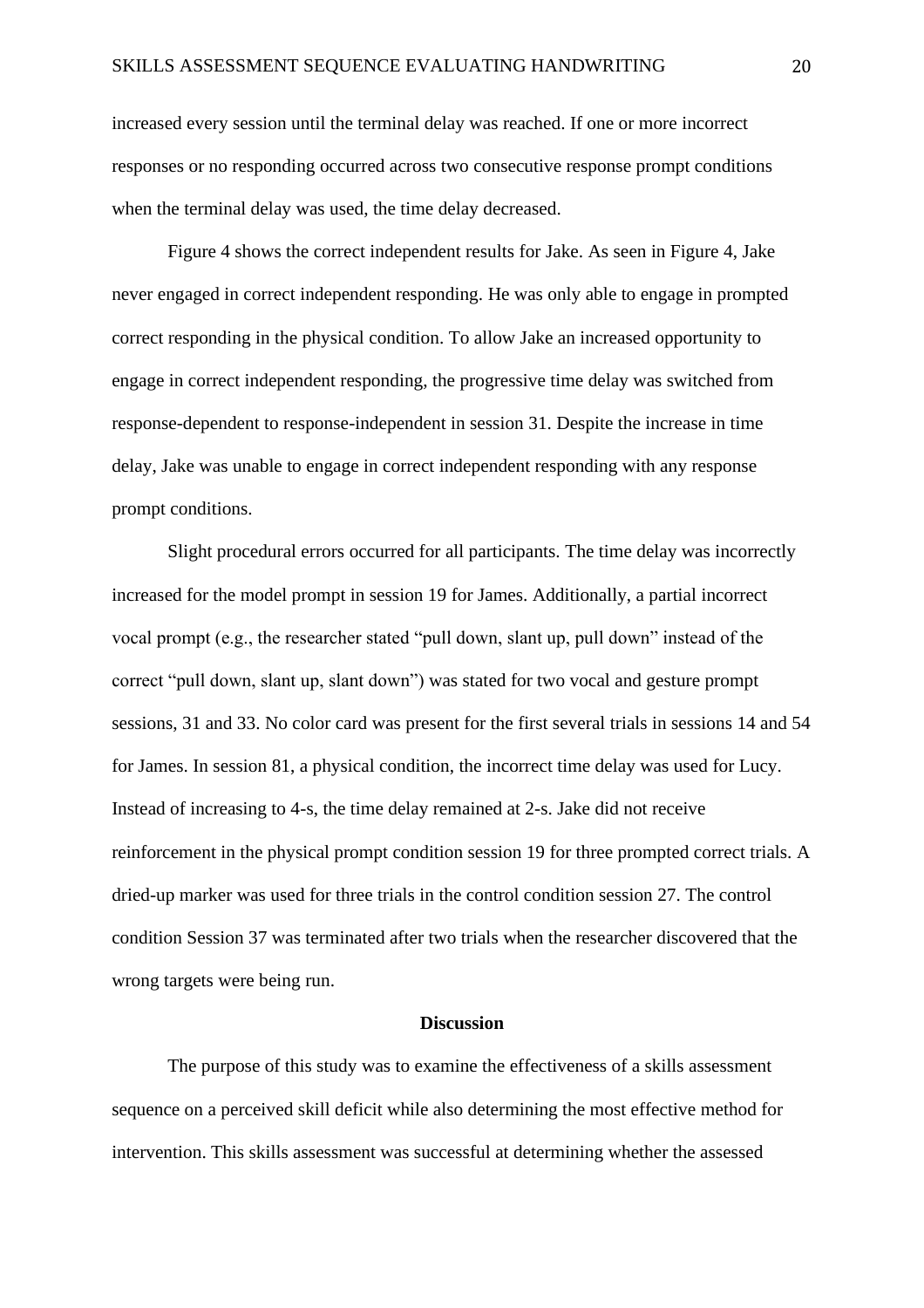increased every session until the terminal delay was reached. If one or more incorrect responses or no responding occurred across two consecutive response prompt conditions when the terminal delay was used, the time delay decreased.

Figure 4 shows the correct independent results for Jake. As seen in Figure 4, Jake never engaged in correct independent responding. He was only able to engage in prompted correct responding in the physical condition. To allow Jake an increased opportunity to engage in correct independent responding, the progressive time delay was switched from response-dependent to response-independent in session 31. Despite the increase in time delay, Jake was unable to engage in correct independent responding with any response prompt conditions.

Slight procedural errors occurred for all participants. The time delay was incorrectly increased for the model prompt in session 19 for James. Additionally, a partial incorrect vocal prompt (e.g., the researcher stated "pull down, slant up, pull down" instead of the correct "pull down, slant up, slant down") was stated for two vocal and gesture prompt sessions, 31 and 33. No color card was present for the first several trials in sessions 14 and 54 for James. In session 81, a physical condition, the incorrect time delay was used for Lucy. Instead of increasing to 4-s, the time delay remained at 2-s. Jake did not receive reinforcement in the physical prompt condition session 19 for three prompted correct trials. A dried-up marker was used for three trials in the control condition session 27. The control condition Session 37 was terminated after two trials when the researcher discovered that the wrong targets were being run.

## **Discussion**

The purpose of this study was to examine the effectiveness of a skills assessment sequence on a perceived skill deficit while also determining the most effective method for intervention. This skills assessment was successful at determining whether the assessed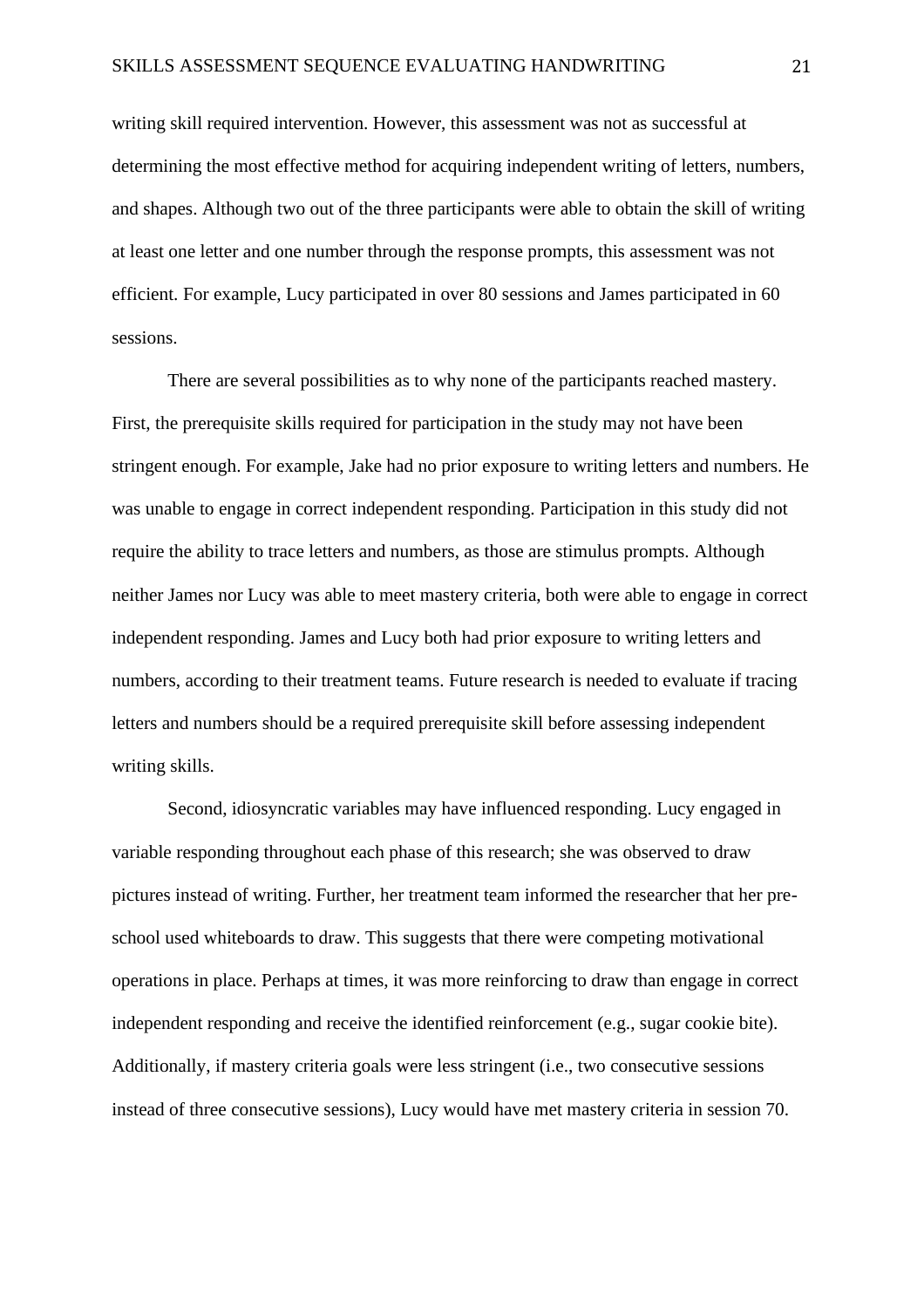writing skill required intervention. However, this assessment was not as successful at determining the most effective method for acquiring independent writing of letters, numbers, and shapes. Although two out of the three participants were able to obtain the skill of writing at least one letter and one number through the response prompts, this assessment was not efficient. For example, Lucy participated in over 80 sessions and James participated in 60 sessions.

There are several possibilities as to why none of the participants reached mastery. First, the prerequisite skills required for participation in the study may not have been stringent enough. For example, Jake had no prior exposure to writing letters and numbers. He was unable to engage in correct independent responding. Participation in this study did not require the ability to trace letters and numbers, as those are stimulus prompts. Although neither James nor Lucy was able to meet mastery criteria, both were able to engage in correct independent responding. James and Lucy both had prior exposure to writing letters and numbers, according to their treatment teams. Future research is needed to evaluate if tracing letters and numbers should be a required prerequisite skill before assessing independent writing skills.

Second, idiosyncratic variables may have influenced responding. Lucy engaged in variable responding throughout each phase of this research; she was observed to draw pictures instead of writing. Further, her treatment team informed the researcher that her preschool used whiteboards to draw. This suggests that there were competing motivational operations in place. Perhaps at times, it was more reinforcing to draw than engage in correct independent responding and receive the identified reinforcement (e.g., sugar cookie bite). Additionally, if mastery criteria goals were less stringent (i.e., two consecutive sessions instead of three consecutive sessions), Lucy would have met mastery criteria in session 70.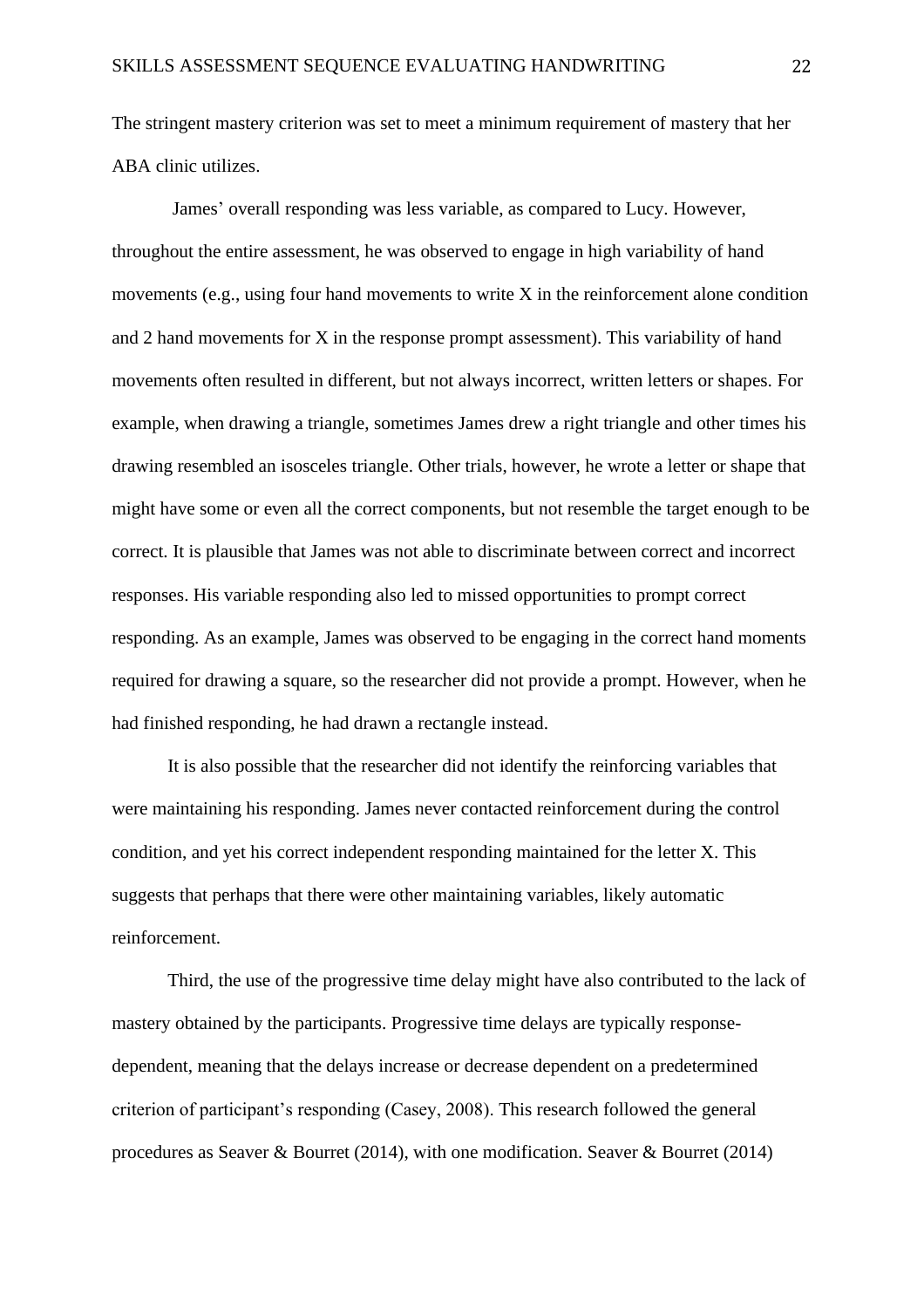The stringent mastery criterion was set to meet a minimum requirement of mastery that her ABA clinic utilizes.

James' overall responding was less variable, as compared to Lucy. However, throughout the entire assessment, he was observed to engage in high variability of hand movements (e.g., using four hand movements to write X in the reinforcement alone condition and 2 hand movements for X in the response prompt assessment). This variability of hand movements often resulted in different, but not always incorrect, written letters or shapes. For example, when drawing a triangle, sometimes James drew a right triangle and other times his drawing resembled an isosceles triangle. Other trials, however, he wrote a letter or shape that might have some or even all the correct components, but not resemble the target enough to be correct. It is plausible that James was not able to discriminate between correct and incorrect responses. His variable responding also led to missed opportunities to prompt correct responding. As an example, James was observed to be engaging in the correct hand moments required for drawing a square, so the researcher did not provide a prompt. However, when he had finished responding, he had drawn a rectangle instead.

It is also possible that the researcher did not identify the reinforcing variables that were maintaining his responding. James never contacted reinforcement during the control condition, and yet his correct independent responding maintained for the letter X. This suggests that perhaps that there were other maintaining variables, likely automatic reinforcement.

Third, the use of the progressive time delay might have also contributed to the lack of mastery obtained by the participants. Progressive time delays are typically responsedependent, meaning that the delays increase or decrease dependent on a predetermined criterion of participant's responding (Casey, 2008). This research followed the general procedures as Seaver & Bourret (2014), with one modification. Seaver & Bourret (2014)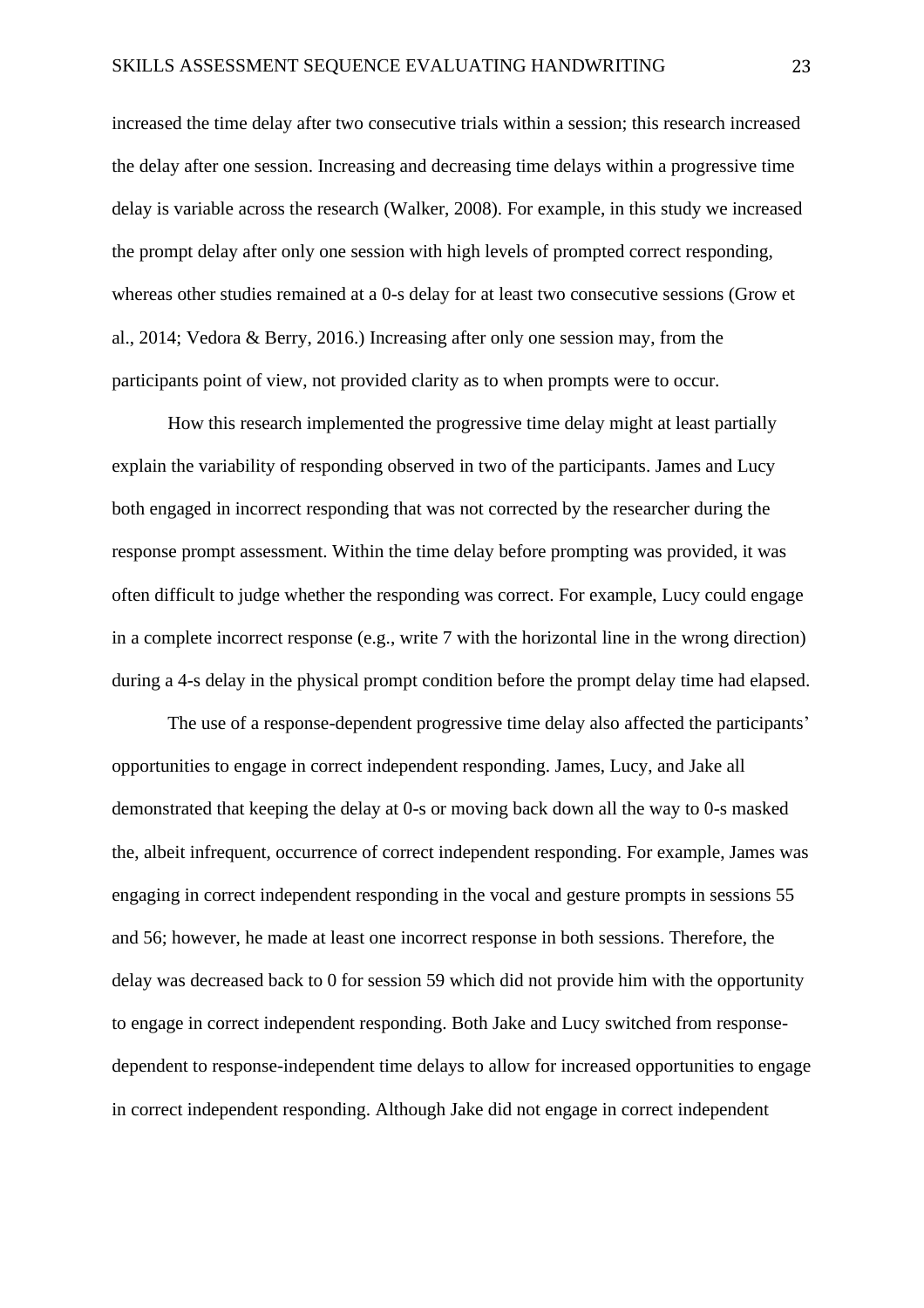increased the time delay after two consecutive trials within a session; this research increased the delay after one session. Increasing and decreasing time delays within a progressive time delay is variable across the research (Walker, 2008). For example, in this study we increased the prompt delay after only one session with high levels of prompted correct responding, whereas other studies remained at a 0-s delay for at least two consecutive sessions (Grow et al., 2014; Vedora & Berry, 2016.) Increasing after only one session may, from the participants point of view, not provided clarity as to when prompts were to occur.

How this research implemented the progressive time delay might at least partially explain the variability of responding observed in two of the participants. James and Lucy both engaged in incorrect responding that was not corrected by the researcher during the response prompt assessment. Within the time delay before prompting was provided, it was often difficult to judge whether the responding was correct. For example, Lucy could engage in a complete incorrect response (e.g., write 7 with the horizontal line in the wrong direction) during a 4-s delay in the physical prompt condition before the prompt delay time had elapsed.

The use of a response-dependent progressive time delay also affected the participants' opportunities to engage in correct independent responding. James, Lucy, and Jake all demonstrated that keeping the delay at 0-s or moving back down all the way to 0-s masked the, albeit infrequent, occurrence of correct independent responding. For example, James was engaging in correct independent responding in the vocal and gesture prompts in sessions 55 and 56; however, he made at least one incorrect response in both sessions. Therefore, the delay was decreased back to 0 for session 59 which did not provide him with the opportunity to engage in correct independent responding. Both Jake and Lucy switched from responsedependent to response-independent time delays to allow for increased opportunities to engage in correct independent responding. Although Jake did not engage in correct independent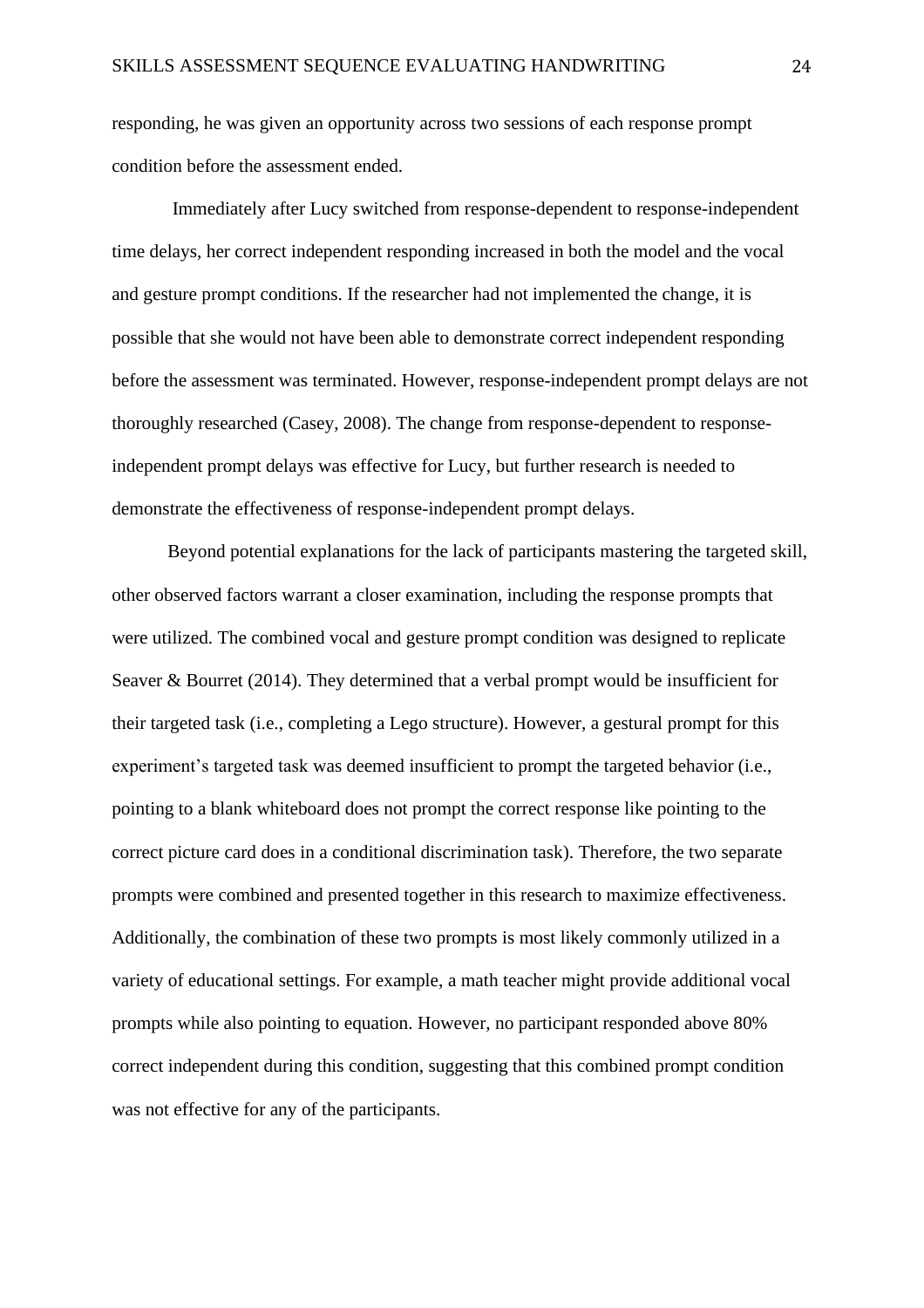responding, he was given an opportunity across two sessions of each response prompt condition before the assessment ended.

Immediately after Lucy switched from response-dependent to response-independent time delays, her correct independent responding increased in both the model and the vocal and gesture prompt conditions. If the researcher had not implemented the change, it is possible that she would not have been able to demonstrate correct independent responding before the assessment was terminated. However, response-independent prompt delays are not thoroughly researched (Casey, 2008). The change from response-dependent to responseindependent prompt delays was effective for Lucy, but further research is needed to demonstrate the effectiveness of response-independent prompt delays.

Beyond potential explanations for the lack of participants mastering the targeted skill, other observed factors warrant a closer examination, including the response prompts that were utilized. The combined vocal and gesture prompt condition was designed to replicate Seaver & Bourret (2014). They determined that a verbal prompt would be insufficient for their targeted task (i.e., completing a Lego structure). However, a gestural prompt for this experiment's targeted task was deemed insufficient to prompt the targeted behavior (i.e., pointing to a blank whiteboard does not prompt the correct response like pointing to the correct picture card does in a conditional discrimination task). Therefore, the two separate prompts were combined and presented together in this research to maximize effectiveness. Additionally, the combination of these two prompts is most likely commonly utilized in a variety of educational settings. For example, a math teacher might provide additional vocal prompts while also pointing to equation. However, no participant responded above 80% correct independent during this condition, suggesting that this combined prompt condition was not effective for any of the participants.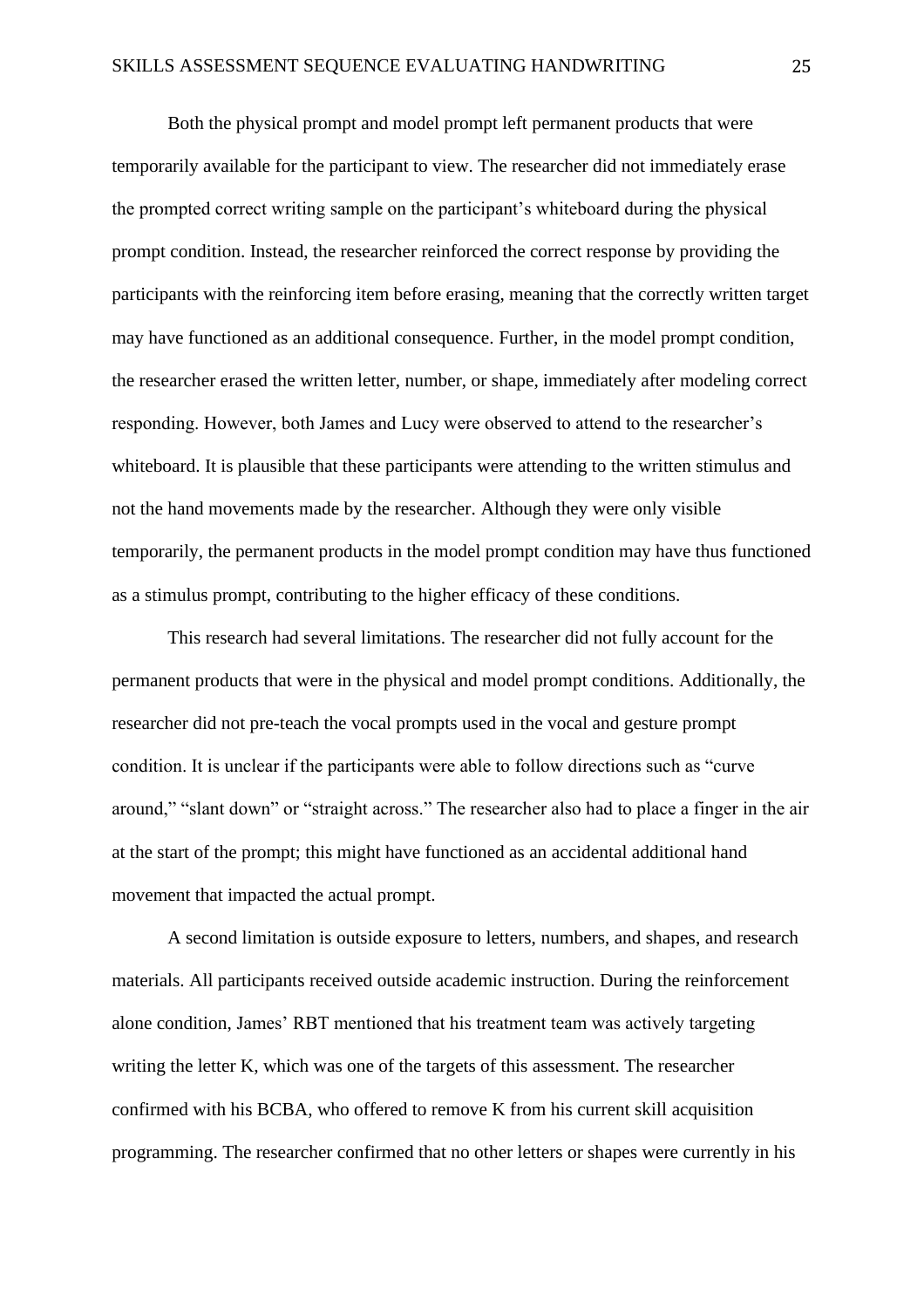Both the physical prompt and model prompt left permanent products that were temporarily available for the participant to view. The researcher did not immediately erase the prompted correct writing sample on the participant's whiteboard during the physical prompt condition. Instead, the researcher reinforced the correct response by providing the participants with the reinforcing item before erasing, meaning that the correctly written target may have functioned as an additional consequence. Further, in the model prompt condition, the researcher erased the written letter, number, or shape, immediately after modeling correct responding. However, both James and Lucy were observed to attend to the researcher's whiteboard. It is plausible that these participants were attending to the written stimulus and not the hand movements made by the researcher. Although they were only visible temporarily, the permanent products in the model prompt condition may have thus functioned as a stimulus prompt, contributing to the higher efficacy of these conditions.

This research had several limitations. The researcher did not fully account for the permanent products that were in the physical and model prompt conditions. Additionally, the researcher did not pre-teach the vocal prompts used in the vocal and gesture prompt condition. It is unclear if the participants were able to follow directions such as "curve around," "slant down" or "straight across." The researcher also had to place a finger in the air at the start of the prompt; this might have functioned as an accidental additional hand movement that impacted the actual prompt.

A second limitation is outside exposure to letters, numbers, and shapes, and research materials. All participants received outside academic instruction. During the reinforcement alone condition, James' RBT mentioned that his treatment team was actively targeting writing the letter K, which was one of the targets of this assessment. The researcher confirmed with his BCBA, who offered to remove K from his current skill acquisition programming. The researcher confirmed that no other letters or shapes were currently in his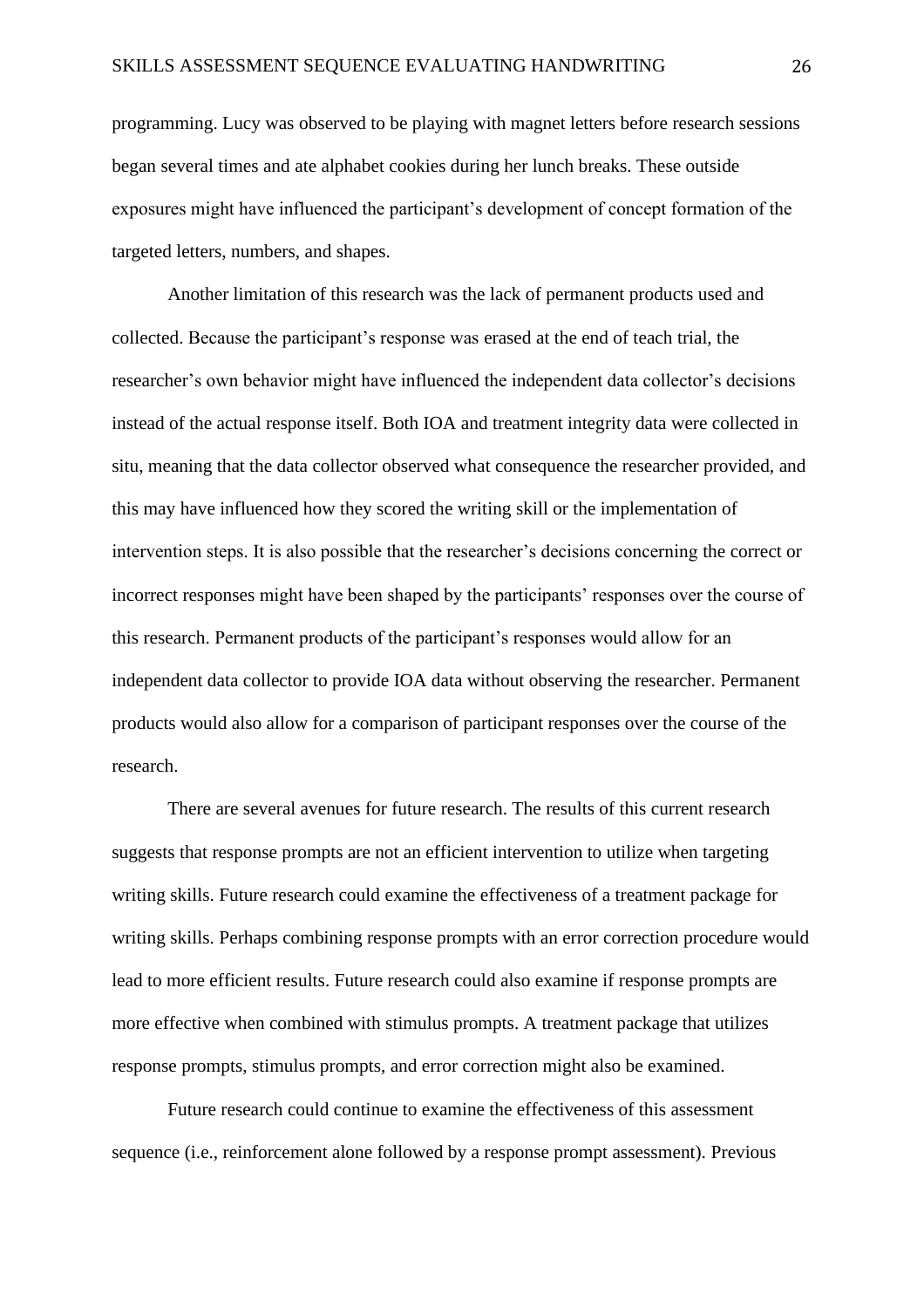programming. Lucy was observed to be playing with magnet letters before research sessions began several times and ate alphabet cookies during her lunch breaks. These outside exposures might have influenced the participant's development of concept formation of the targeted letters, numbers, and shapes.

Another limitation of this research was the lack of permanent products used and collected. Because the participant's response was erased at the end of teach trial, the researcher's own behavior might have influenced the independent data collector's decisions instead of the actual response itself. Both IOA and treatment integrity data were collected in situ, meaning that the data collector observed what consequence the researcher provided, and this may have influenced how they scored the writing skill or the implementation of intervention steps. It is also possible that the researcher's decisions concerning the correct or incorrect responses might have been shaped by the participants' responses over the course of this research. Permanent products of the participant's responses would allow for an independent data collector to provide IOA data without observing the researcher. Permanent products would also allow for a comparison of participant responses over the course of the research.

There are several avenues for future research. The results of this current research suggests that response prompts are not an efficient intervention to utilize when targeting writing skills. Future research could examine the effectiveness of a treatment package for writing skills. Perhaps combining response prompts with an error correction procedure would lead to more efficient results. Future research could also examine if response prompts are more effective when combined with stimulus prompts. A treatment package that utilizes response prompts, stimulus prompts, and error correction might also be examined.

Future research could continue to examine the effectiveness of this assessment sequence (i.e., reinforcement alone followed by a response prompt assessment). Previous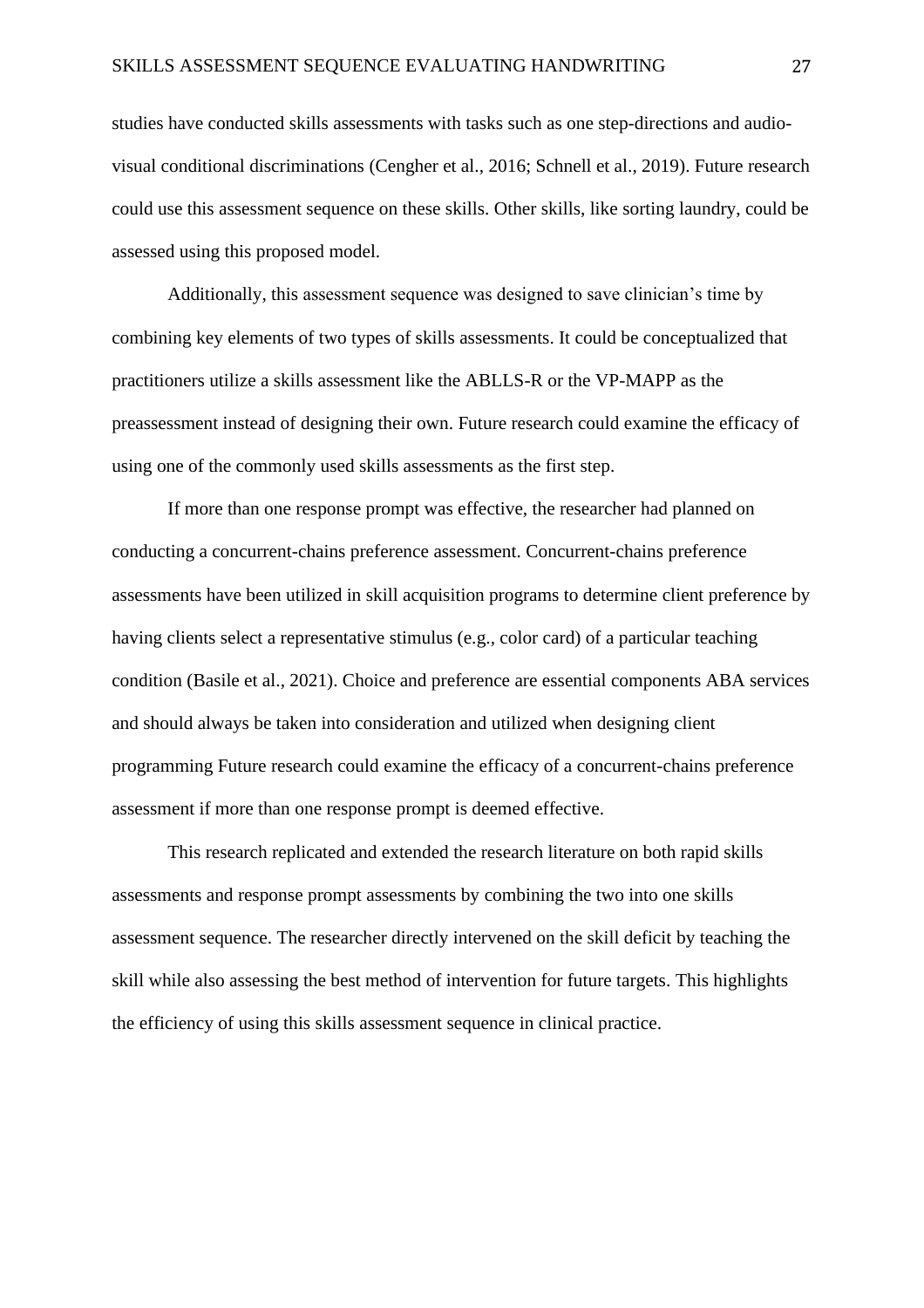studies have conducted skills assessments with tasks such as one step-directions and audiovisual conditional discriminations (Cengher et al., 2016; Schnell et al., 2019). Future research could use this assessment sequence on these skills. Other skills, like sorting laundry, could be assessed using this proposed model.

Additionally, this assessment sequence was designed to save clinician's time by combining key elements of two types of skills assessments. It could be conceptualized that practitioners utilize a skills assessment like the ABLLS-R or the VP-MAPP as the preassessment instead of designing their own. Future research could examine the efficacy of using one of the commonly used skills assessments as the first step.

If more than one response prompt was effective, the researcher had planned on conducting a concurrent-chains preference assessment. Concurrent-chains preference assessments have been utilized in skill acquisition programs to determine client preference by having clients select a representative stimulus (e.g., color card) of a particular teaching condition (Basile et al., 2021). Choice and preference are essential components ABA services and should always be taken into consideration and utilized when designing client programming Future research could examine the efficacy of a concurrent-chains preference assessment if more than one response prompt is deemed effective.

This research replicated and extended the research literature on both rapid skills assessments and response prompt assessments by combining the two into one skills assessment sequence. The researcher directly intervened on the skill deficit by teaching the skill while also assessing the best method of intervention for future targets. This highlights the efficiency of using this skills assessment sequence in clinical practice.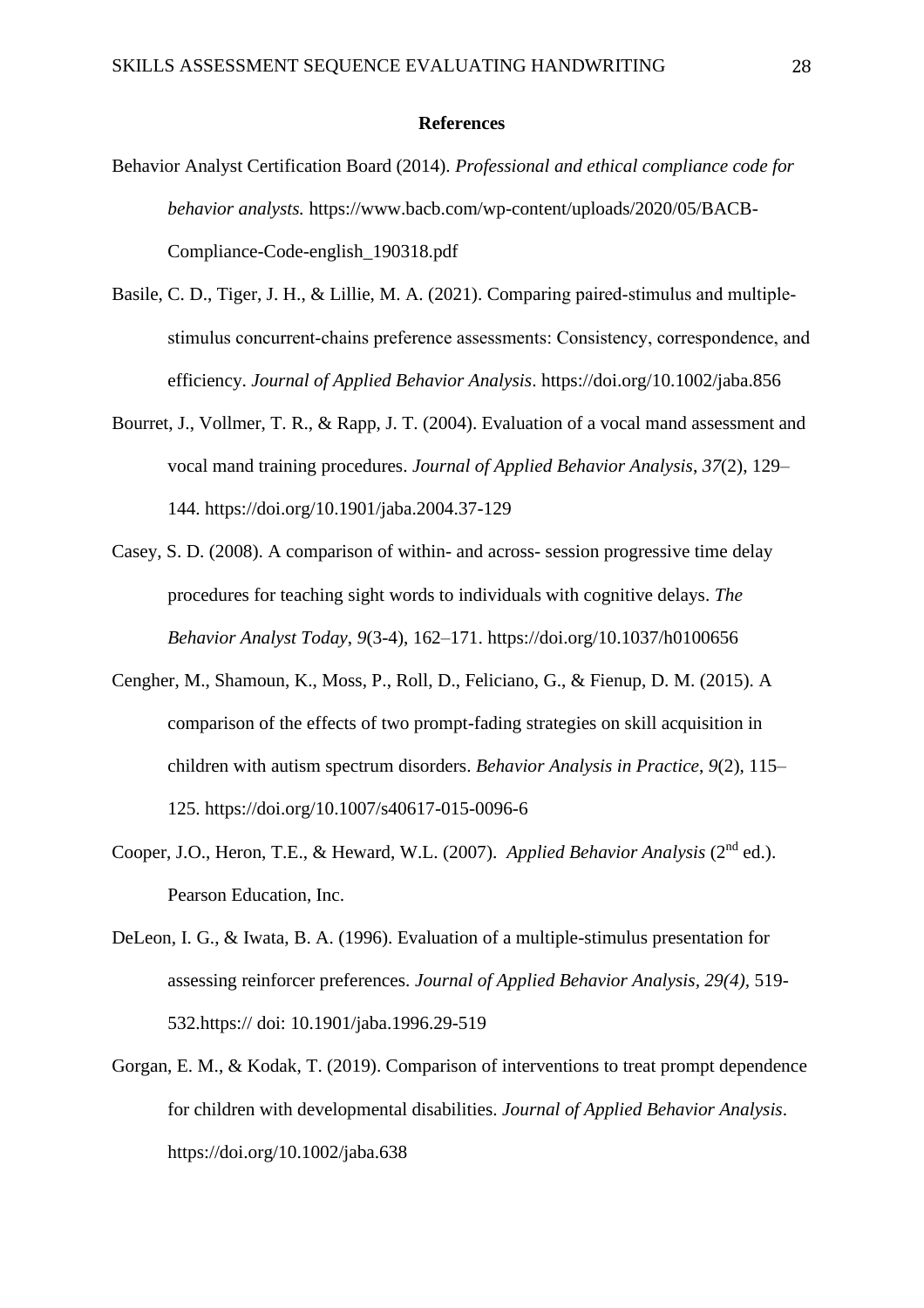#### **References**

- Behavior Analyst Certification Board (2014). *Professional and ethical compliance code for behavior analysts.* https://www.bacb.com/wp-content/uploads/2020/05/BACB-Compliance-Code-english\_190318.pdf
- Basile, C. D., Tiger, J. H., & Lillie, M. A. (2021). Comparing paired-stimulus and multiplestimulus concurrent‐chains preference assessments: Consistency, correspondence, and efficiency. *Journal of Applied Behavior Analysis*. https://doi.org/10.1002/jaba.856
- Bourret, J., Vollmer, T. R., & Rapp, J. T. (2004). Evaluation of a vocal mand assessment and vocal mand training procedures. *Journal of Applied Behavior Analysis*, *37*(2), 129– 144. https://doi.org/10.1901/jaba.2004.37-129
- Casey, S. D. (2008). A comparison of within- and across- session progressive time delay procedures for teaching sight words to individuals with cognitive delays. *The Behavior Analyst Today*, *9*(3-4), 162–171. https://doi.org/10.1037/h0100656
- Cengher, M., Shamoun, K., Moss, P., Roll, D., Feliciano, G., & Fienup, D. M. (2015). A comparison of the effects of two prompt-fading strategies on skill acquisition in children with autism spectrum disorders. *Behavior Analysis in Practice*, *9*(2), 115– 125. https://doi.org/10.1007/s40617-015-0096-6
- Cooper, J.O., Heron, T.E., & Heward, W.L. (2007). *Applied Behavior Analysis* (2<sup>nd</sup> ed.). Pearson Education, Inc.
- DeLeon, I. G., & Iwata, B. A. (1996). Evaluation of a multiple-stimulus presentation for assessing reinforcer preferences. *Journal of Applied Behavior Analysis, 29(4),* 519- 532.https:// doi: 10.1901/jaba.1996.29-519
- Gorgan, E. M., & Kodak, T. (2019). Comparison of interventions to treat prompt dependence for children with developmental disabilities. *Journal of Applied Behavior Analysis*. https://doi.org/10.1002/jaba.638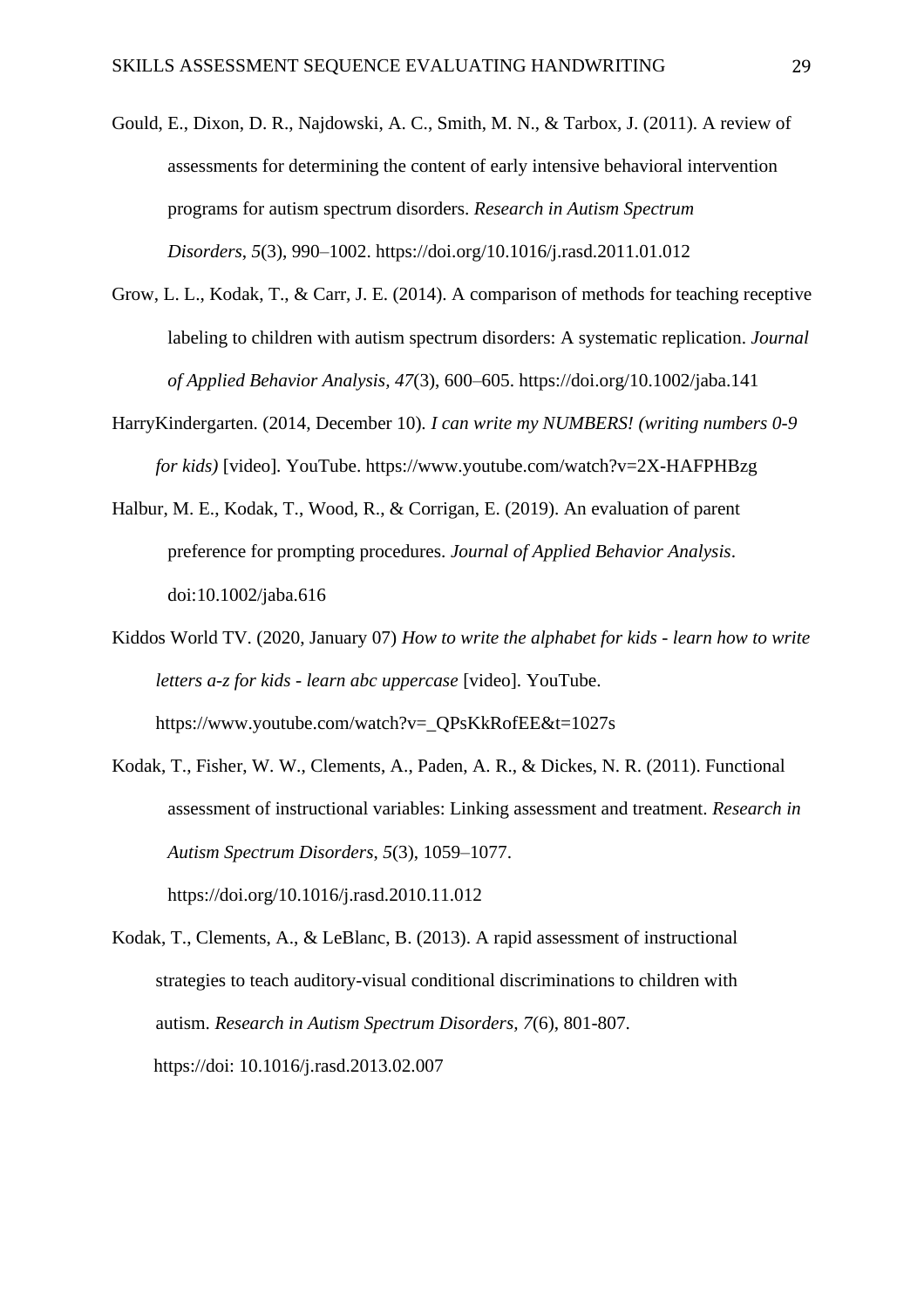- Gould, E., Dixon, D. R., Najdowski, A. C., Smith, M. N., & Tarbox, J. (2011). A review of assessments for determining the content of early intensive behavioral intervention programs for autism spectrum disorders. *Research in Autism Spectrum Disorders*, *5*(3), 990–1002. https://doi.org/10.1016/j.rasd.2011.01.012
- Grow, L. L., Kodak, T., & Carr, J. E. (2014). A comparison of methods for teaching receptive labeling to children with autism spectrum disorders: A systematic replication. *Journal of Applied Behavior Analysis, 47*(3), 600–605. https://doi.org/10.1002/jaba.141
- HarryKindergarten. (2014, December 10). *I can write my NUMBERS! (writing numbers 0-9 for kids)* [video]*.* YouTube. https://www.youtube.com/watch?v=2X-HAFPHBzg
- Halbur, M. E., Kodak, T., Wood, R., & Corrigan, E. (2019). An evaluation of parent preference for prompting procedures. *Journal of Applied Behavior Analysis*. doi:10.1002/jaba.616
- Kiddos World TV. (2020, January 07) *How to write the alphabet for kids - learn how to write letters a-z for kids - learn abc uppercase* [video]. YouTube. https://www.youtube.com/watch?v=\_QPsKkRofEE&t=1027s
- Kodak, T., Fisher, W. W., Clements, A., Paden, A. R., & Dickes, N. R. (2011). Functional assessment of instructional variables: Linking assessment and treatment. *Research in Autism Spectrum Disorders*, *5*(3), 1059–1077. https://doi.org/10.1016/j.rasd.2010.11.012

Kodak, T., Clements, A., & LeBlanc, B. (2013). A rapid assessment of instructional strategies to teach auditory-visual conditional discriminations to children with autism. *Research in Autism Spectrum Disorders, 7*(6), 801-807. https://doi: 10.1016/j.rasd.2013.02.007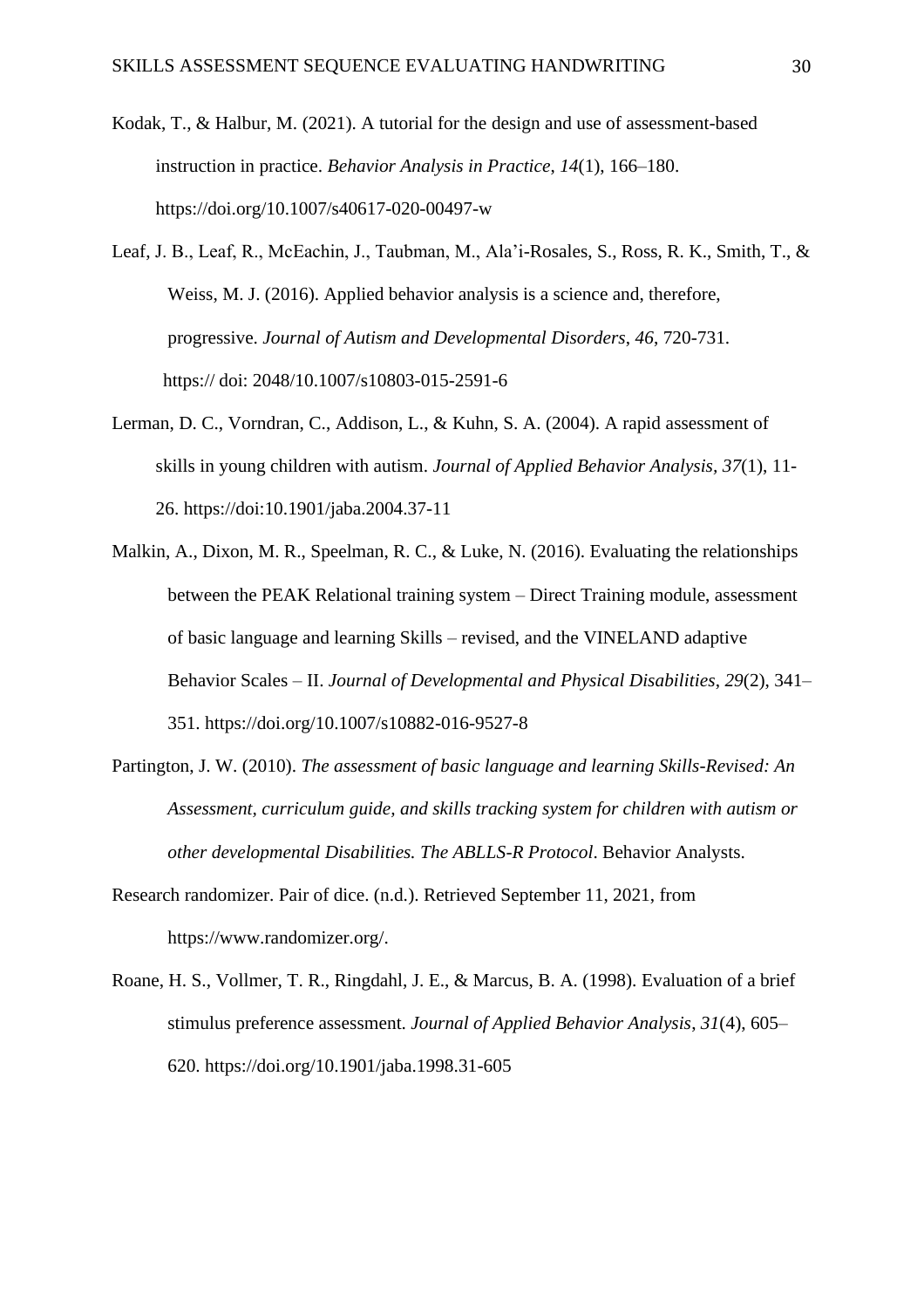- Kodak, T., & Halbur, M. (2021). A tutorial for the design and use of assessment-based instruction in practice. *Behavior Analysis in Practice*, *14*(1), 166–180. https://doi.org/10.1007/s40617-020-00497-w
- Leaf, J. B., Leaf, R., McEachin, J., Taubman, M., Ala'i-Rosales, S., Ross, R. K., Smith, T., & Weiss, M. J. (2016). Applied behavior analysis is a science and, therefore, progressive. *Journal of Autism and Developmental Disorders*, *46*, 720-731. https:// doi: 2048/10.1007/s10803-015-2591-6
- Lerman, D. C., Vorndran, C., Addison, L., & Kuhn, S. A. (2004). A rapid assessment of skills in young children with autism. *Journal of Applied Behavior Analysis, 37*(1), 11- 26. https://doi:10.1901/jaba.2004.37-11
- Malkin, A., Dixon, M. R., Speelman, R. C., & Luke, N. (2016). Evaluating the relationships between the PEAK Relational training system – Direct Training module, assessment of basic language and learning Skills – revised, and the VINELAND adaptive Behavior Scales – II. *Journal of Developmental and Physical Disabilities*, *29*(2), 341– 351. https://doi.org/10.1007/s10882-016-9527-8
- Partington, J. W. (2010). *The assessment of basic language and learning Skills-Revised: An Assessment, curriculum guide, and skills tracking system for children with autism or other developmental Disabilities. The ABLLS-R Protocol*. Behavior Analysts.
- Research randomizer. Pair of dice. (n.d.). Retrieved September 11, 2021, from https://www.randomizer.org/.
- Roane, H. S., Vollmer, T. R., Ringdahl, J. E., & Marcus, B. A. (1998). Evaluation of a brief stimulus preference assessment. *Journal of Applied Behavior Analysis*, *31*(4), 605– 620. https://doi.org/10.1901/jaba.1998.31-605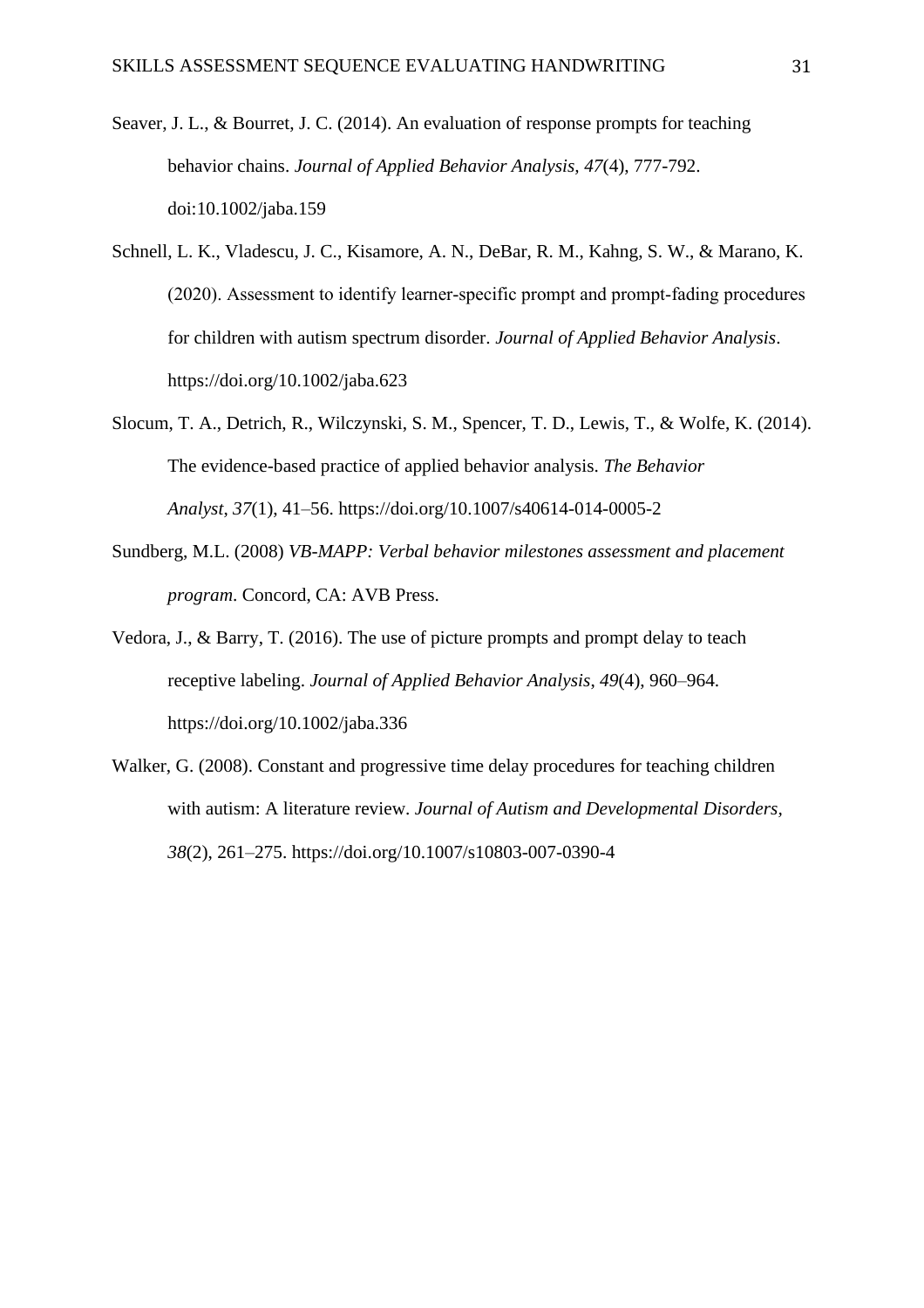- Seaver, J. L., & Bourret, J. C. (2014). An evaluation of response prompts for teaching behavior chains. *Journal of Applied Behavior Analysis, 47*(4), 777-792. doi:10.1002/jaba.159
- Schnell, L. K., Vladescu, J. C., Kisamore, A. N., DeBar, R. M., Kahng, S. W., & Marano, K. (2020). Assessment to identify learner‐specific prompt and prompt‐fading procedures for children with autism spectrum disorder. *Journal of Applied Behavior Analysis*. https://doi.org/10.1002/jaba.623
- Slocum, T. A., Detrich, R., Wilczynski, S. M., Spencer, T. D., Lewis, T., & Wolfe, K. (2014). The evidence-based practice of applied behavior analysis. *The Behavior Analyst*, *37*(1), 41–56. https://doi.org/10.1007/s40614-014-0005-2
- Sundberg, M.L. (2008) *VB-MAPP: Verbal behavior milestones assessment and placement program*. Concord, CA: AVB Press.
- Vedora, J., & Barry, T. (2016). The use of picture prompts and prompt delay to teach receptive labeling. *Journal of Applied Behavior Analysis*, *49*(4), 960–964. https://doi.org/10.1002/jaba.336
- Walker, G. (2008). Constant and progressive time delay procedures for teaching children with autism: A literature review. *Journal of Autism and Developmental Disorders, 38*(2), 261–275. https://doi.org/10.1007/s10803-007-0390-4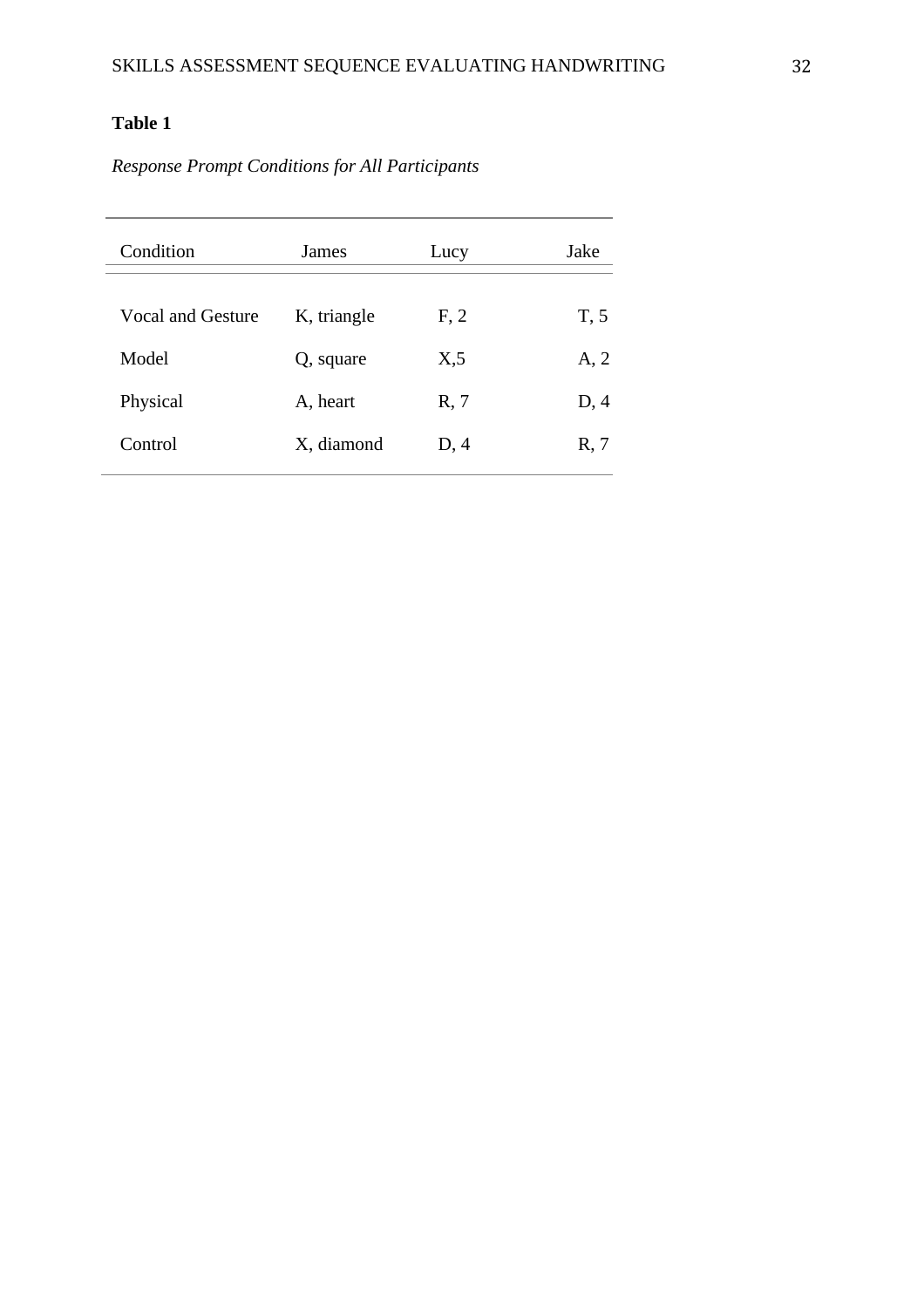# **Table 1**

*Response Prompt Conditions for All Participants*

| Condition         | James       | Lucy | Jake |
|-------------------|-------------|------|------|
| Vocal and Gesture | K, triangle | F, 2 | T, 5 |
| Model             | Q, square   | X,5  | A, 2 |
| Physical          | A, heart    | R, 7 | D, 4 |
| Control           | X, diamond  | D, 4 | R, 7 |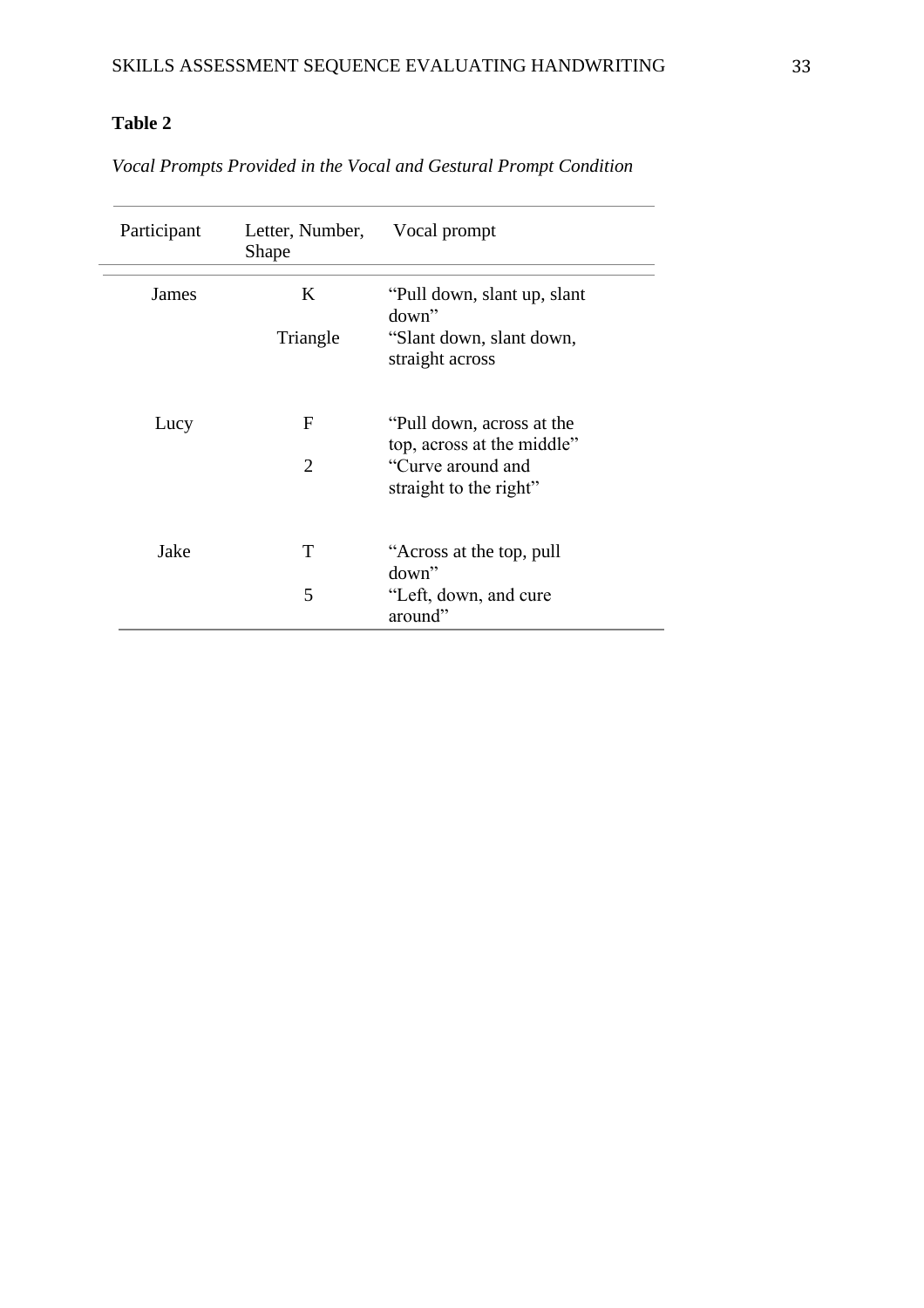# **Table 2**

*Vocal Prompts Provided in the Vocal and Gestural Prompt Condition*

| Participant | Letter, Number, Vocal prompt<br><b>Shape</b> |                                                         |
|-------------|----------------------------------------------|---------------------------------------------------------|
| James       | K                                            | "Pull down, slant up, slant"<br>$down$ "                |
|             | Triangle                                     | "Slant down, slant down,<br>straight across             |
| Lucy        | F                                            | "Pull down, across at the<br>top, across at the middle" |
|             | $\mathcal{D}_{\mathcal{L}}$                  | "Curve around and<br>straight to the right"             |
| Jake        | T                                            | "Across at the top, pull<br>down"                       |
|             | 5                                            | "Left, down, and cure"<br>around"                       |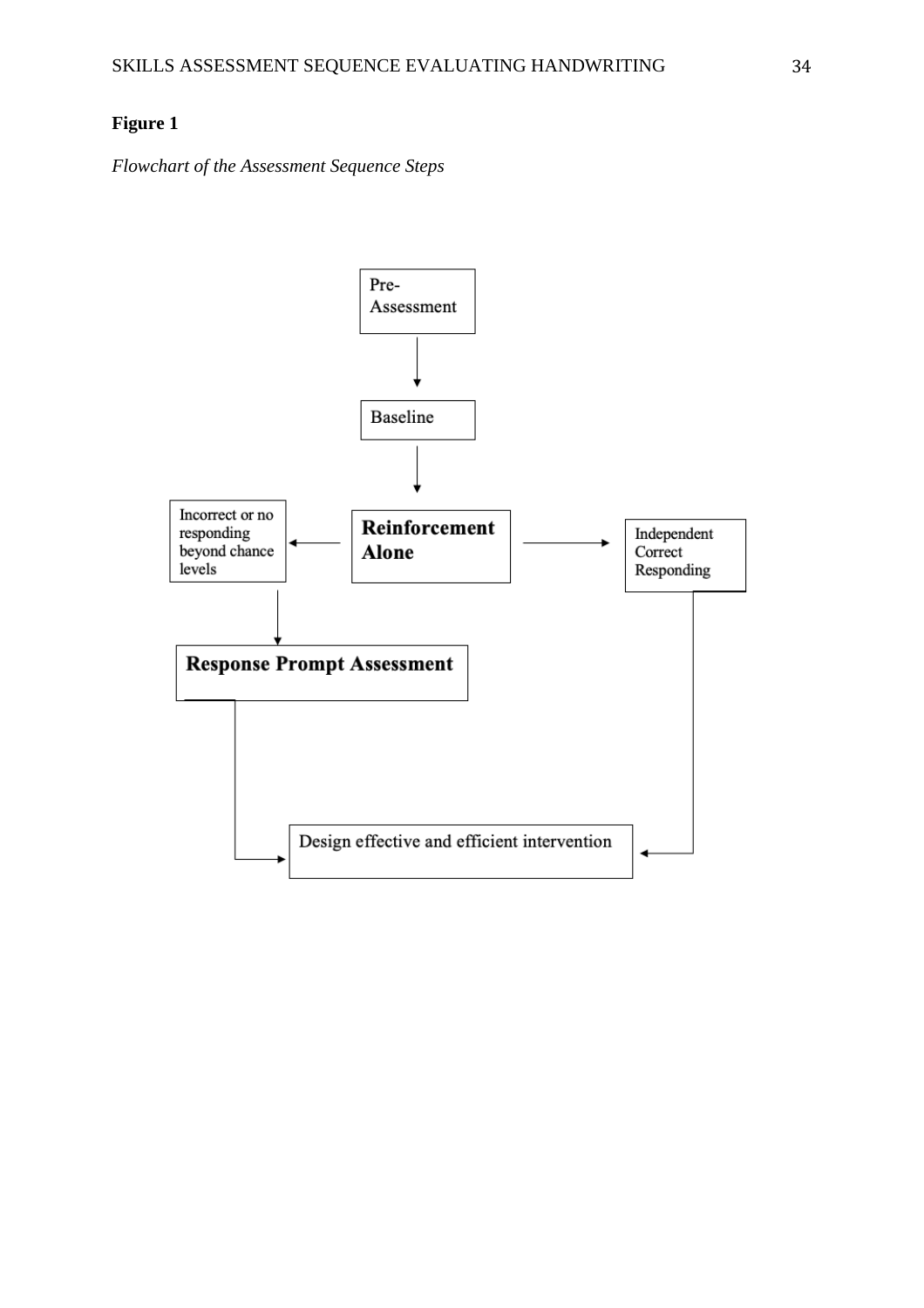*Flowchart of the Assessment Sequence Steps*

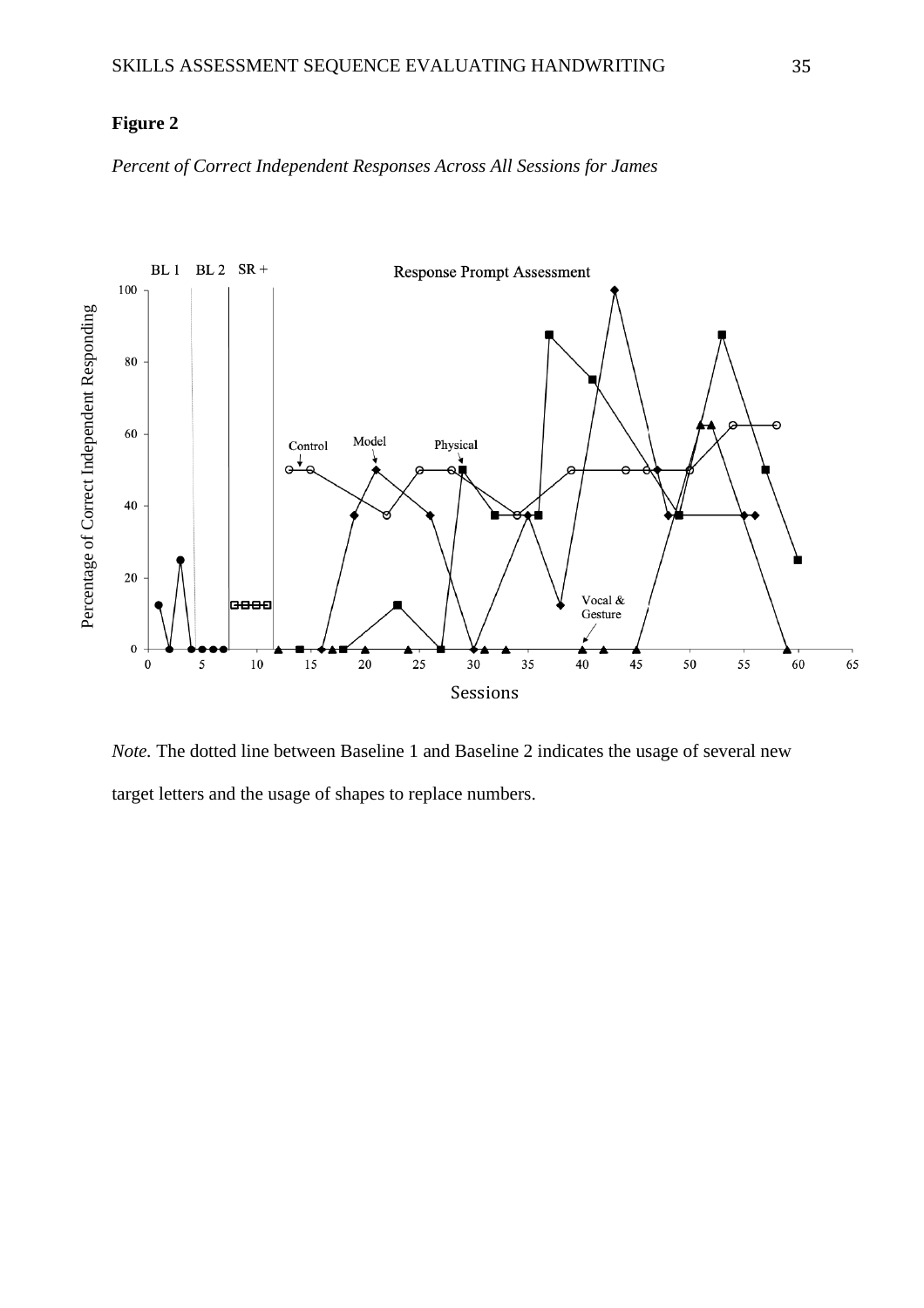*Percent of Correct Independent Responses Across All Sessions for James*



*Note.* The dotted line between Baseline 1 and Baseline 2 indicates the usage of several new target letters and the usage of shapes to replace numbers.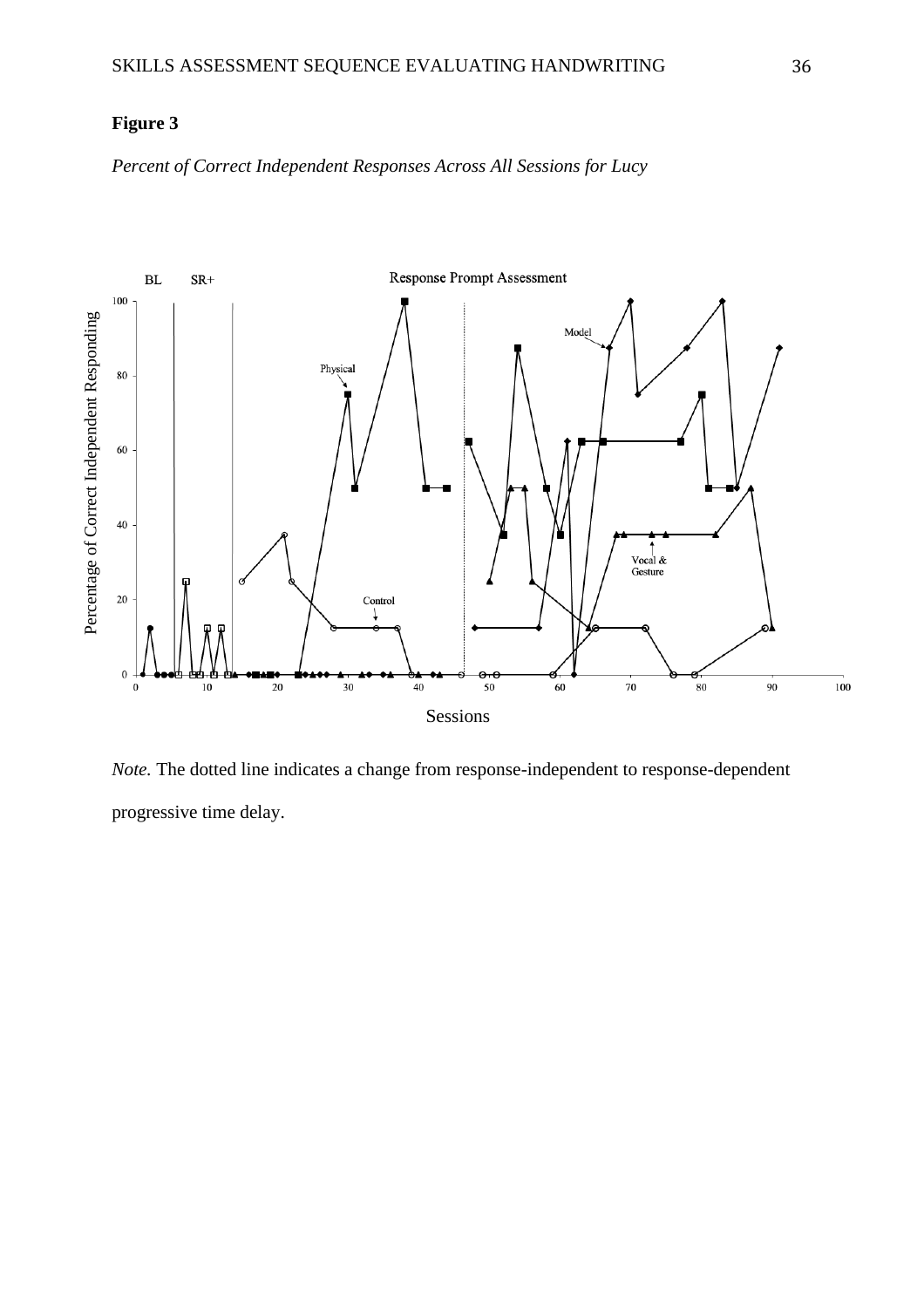*Percent of Correct Independent Responses Across All Sessions for Lucy*



*Note.* The dotted line indicates a change from response-independent to response-dependent progressive time delay.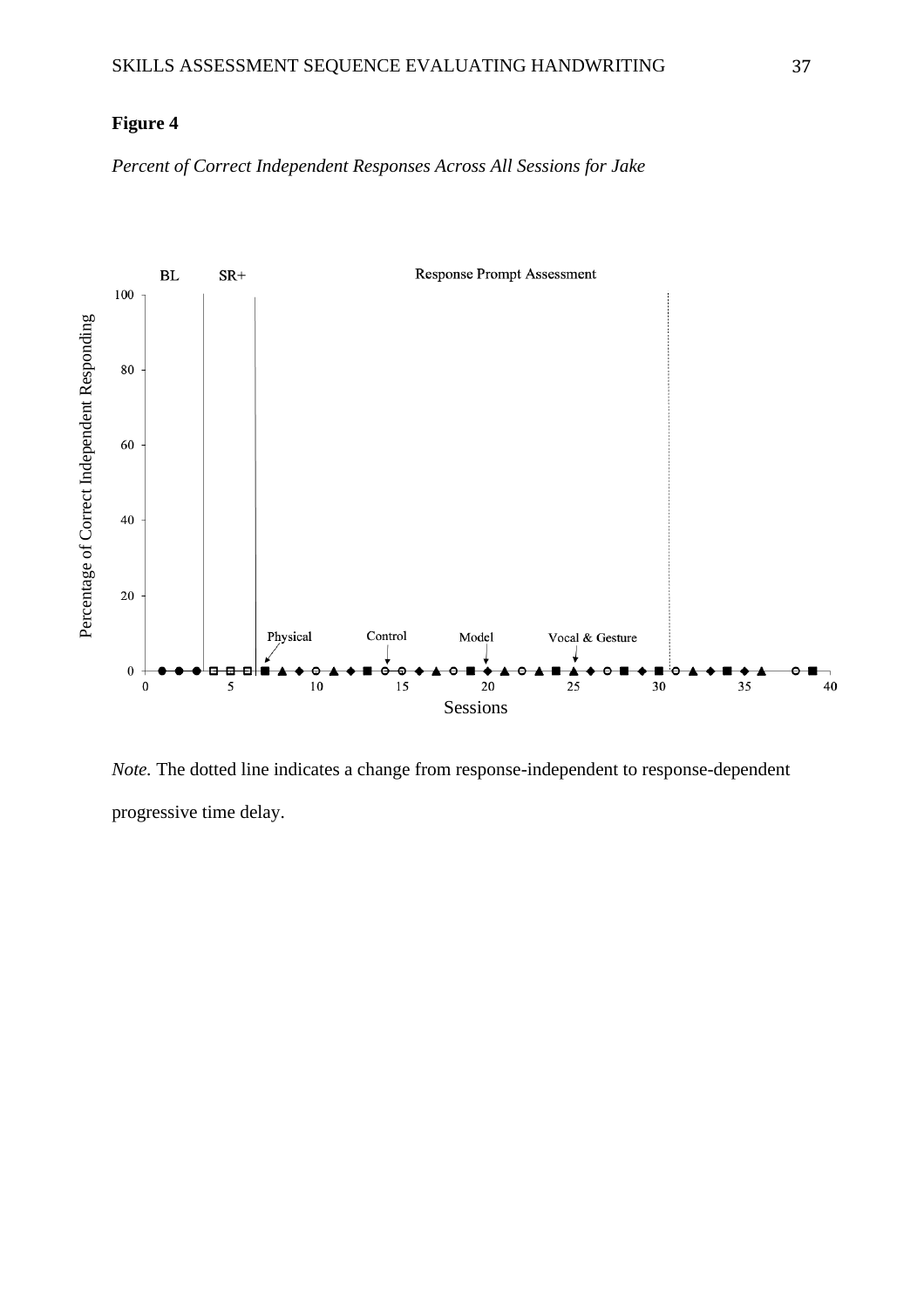*Percent of Correct Independent Responses Across All Sessions for Jake*



*Note.* The dotted line indicates a change from response-independent to response-dependent progressive time delay.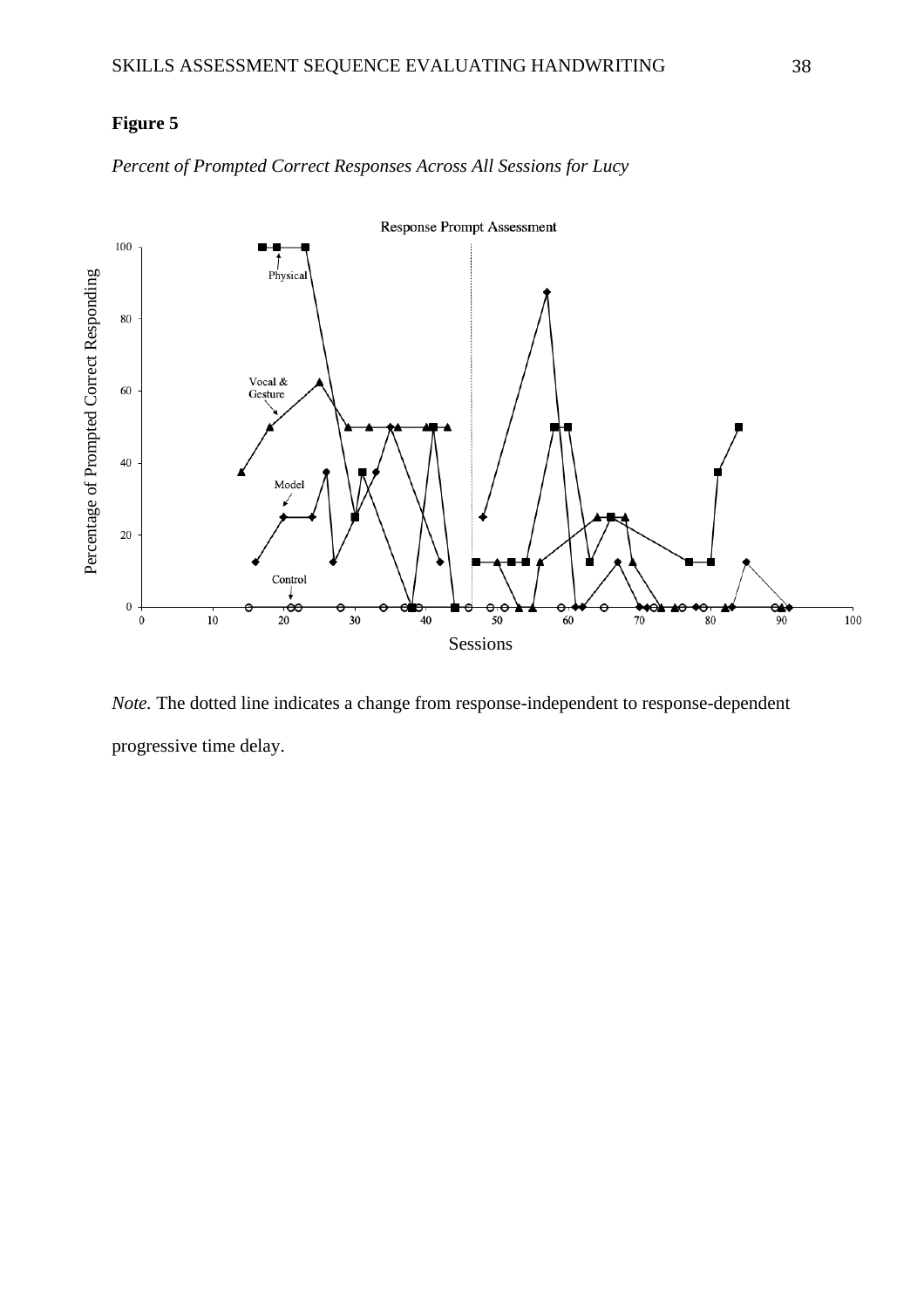*Percent of Prompted Correct Responses Across All Sessions for Lucy*



*Note.* The dotted line indicates a change from response-independent to response-dependent progressive time delay.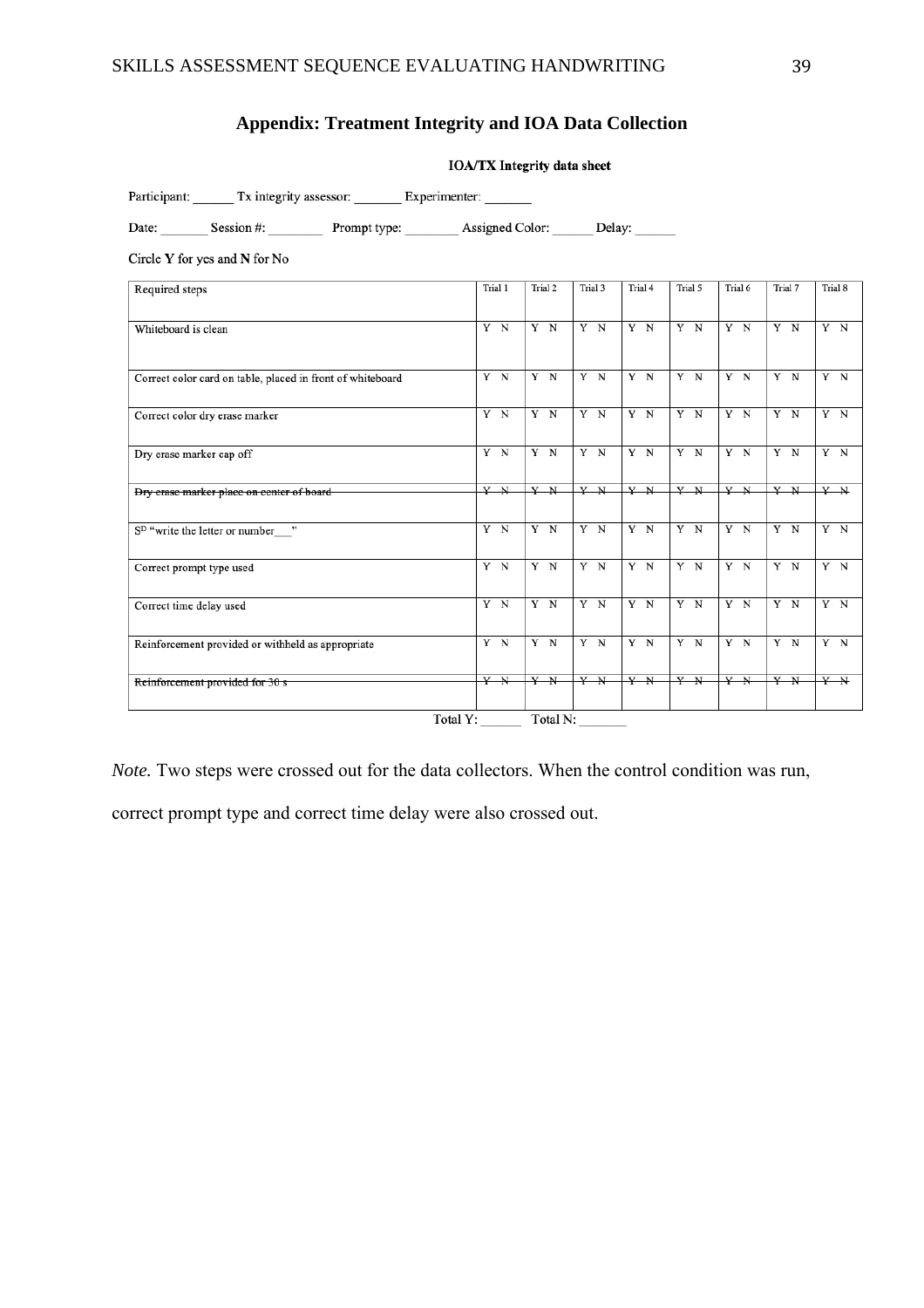# **Appendix: Treatment Integrity and IOA Data Collection**

|                                                            | <b>IOA/TX Integrity data sheet</b> |         |          |         |         |         |         |                         |
|------------------------------------------------------------|------------------------------------|---------|----------|---------|---------|---------|---------|-------------------------|
| Participant: Tx integrity assessor: Experimenter:          |                                    |         |          |         |         |         |         |                         |
| Date: Session #: Prompt type: Assigned Color: Delay:       |                                    |         |          |         |         |         |         |                         |
| Circle $Y$ for yes and $N$ for No                          |                                    |         |          |         |         |         |         |                         |
| Required steps                                             | Trial 1                            | Trial 2 | Trial 3  | Trial 4 | Trial 5 | Trial 6 | Trial 7 | Trial 8                 |
| Whiteboard is clean                                        | $Y$ N                              | $Y$ N   | Y N      | Y N     | $Y$ N   | $Y$ N   | $Y \ N$ | $Y$ N                   |
| Correct color card on table, placed in front of whiteboard | $Y$ N                              | $Y$ N   | Y N      | Y N     | Y N     | Y N     | Y N     | $\overline{Y}$ N        |
| Correct color dry erase marker                             | $Y$ N                              | $Y$ N   | $Y$ N    | $Y$ N   | $Y$ N   | $Y$ N   | $Y$ N   | $Y$ N                   |
| Dry erase marker cap off                                   | $Y$ N                              | $Y$ N   | $Y$ N    | $Y$ N   | $Y$ N   | $Y$ N   | $Y$ N   | $Y$ N                   |
| Dry crase marker place on center of board                  | $Y$ N                              | $Y$ N   | $Y$ N    | Y N     | Y N     | Y N     | $Y$ N   | $Y$ N                   |
| S <sup>D</sup> "write the letter or number "               | $Y$ N                              | $Y$ N   | $Y$ N    | $Y \ N$ | $Y$ N   | $Y \ N$ | $Y$ N   | $Y$ N                   |
| Correct prompt type used                                   | $Y$ N                              | $Y$ N   | $Y$ N    | $Y$ N   | $Y$ N   | $Y$ N   | $Y$ N   | $Y \ N$                 |
| Correct time delay used                                    | Y N                                | $Y$ N   | $Y$ N    | $Y$ N   | $Y$ N   | $Y$ N   | $Y$ N   | $Y$ N                   |
| Reinforcement provided or withheld as appropriate          | $Y$ N                              | $Y$ N   | $Y$ N    | $Y$ N   | $Y$ N   | $Y$ N   | $Y$ N   | $\mathbf{Y}-\mathbf{N}$ |
| Reinforcement provided for 30 s                            | $Y$ N                              | $Y$ N   | Y N      | $Y$ N   | Y N     | $Y$ N   | Y N     | $Y$ N                   |
|                                                            | Total Y:                           |         | Total N: |         |         |         |         |                         |

*Note.* Two steps were crossed out for the data collectors. When the control condition was run,

correct prompt type and correct time delay were also crossed out.